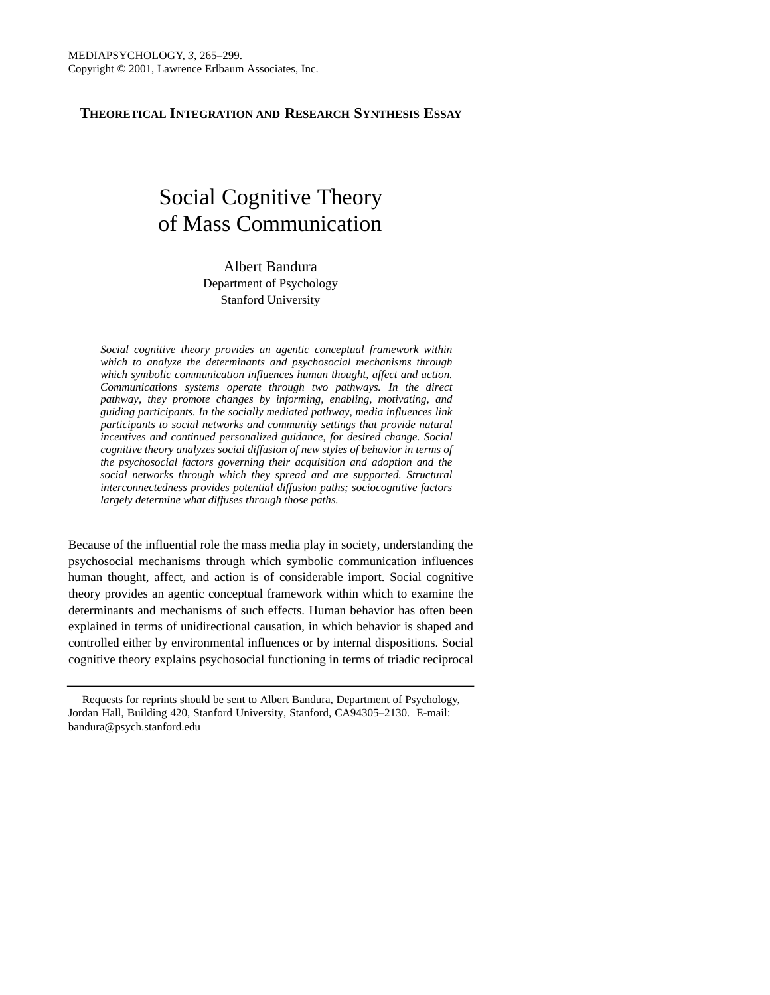# **THEORETICAL INTEGRATION AND RESEARCH SYNTHESIS ESSAY**

# Social Cognitive Theory of Mass Communication

Albert Bandura Department of Psychology Stanford University

*Social cognitive theory provides an agentic conceptual framework within which to analyze the determinants and psychosocial mechanisms through which symbolic communication influences human thought, affect and action. Communications systems operate through two pathways. In the direct pathway, they promote changes by informing, enabling, motivating, and guiding participants. In the socially mediated pathway, media influences link participants to social networks and community settings that provide natural incentives and continued personalized guidance, for desired change. Social cognitive theory analyzes social diffusion of new styles of behavior in terms of the psychosocial factors governing their acquisition and adoption and the social networks through which they spread and are supported. Structural interconnectedness provides potential diffusion paths; sociocognitive factors largely determine what diffuses through those paths.*

Because of the influential role the mass media play in society, understanding the psychosocial mechanisms through which symbolic communication influences human thought, affect, and action is of considerable import. Social cognitive theory provides an agentic conceptual framework within which to examine the determinants and mechanisms of such effects. Human behavior has often been explained in terms of unidirectional causation, in which behavior is shaped and controlled either by environmental influences or by internal dispositions. Social cognitive theory explains psychosocial functioning in terms of triadic reciprocal

Requests for reprints should be sent to Albert Bandura, Department of Psychology, Jordan Hall, Building 420, Stanford University, Stanford, CA94305–2130. E-mail: bandura@psych.stanford.edu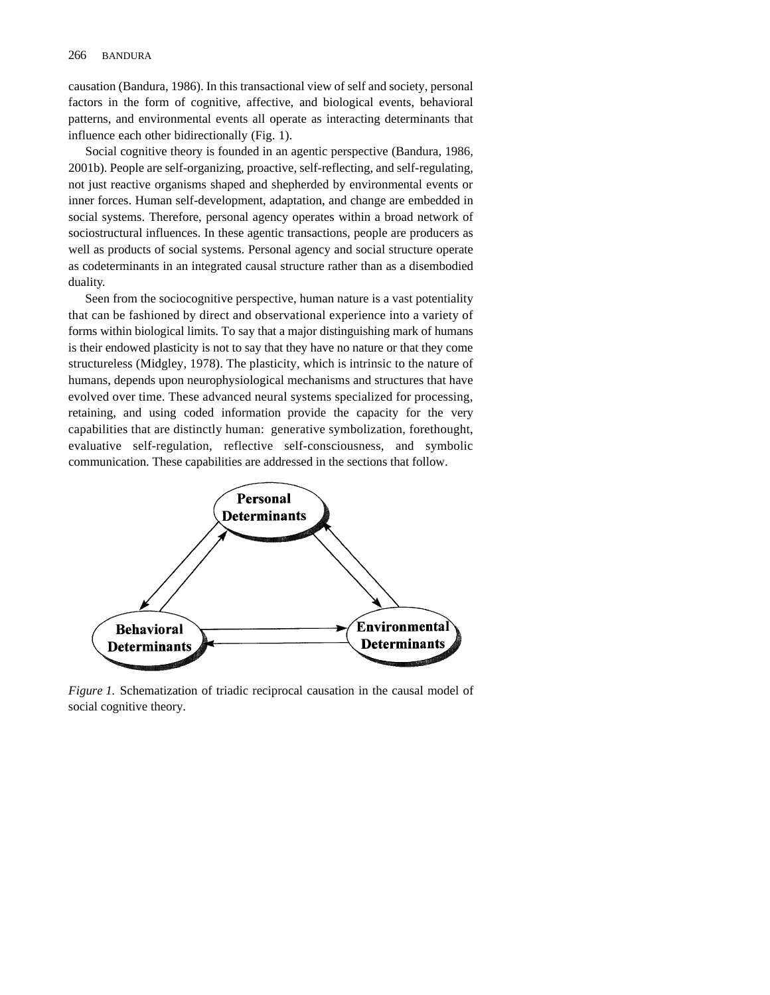causation (Bandura, 1986). In this transactional view of self and society, personal factors in the form of cognitive, affective, and biological events, behavioral patterns, and environmental events all operate as interacting determinants that influence each other bidirectionally (Fig. 1).

Social cognitive theory is founded in an agentic perspective (Bandura, 1986, 2001b). People are self-organizing, proactive, self-reflecting, and self-regulating, not just reactive organisms shaped and shepherded by environmental events or inner forces. Human self-development, adaptation, and change are embedded in social systems. Therefore, personal agency operates within a broad network of sociostructural influences. In these agentic transactions, people are producers as well as products of social systems. Personal agency and social structure operate as codeterminants in an integrated causal structure rather than as a disembodied duality.

Seen from the sociocognitive perspective, human nature is a vast potentiality that can be fashioned by direct and observational experience into a variety of forms within biological limits. To say that a major distinguishing mark of humans is their endowed plasticity is not to say that they have no nature or that they come structureless (Midgley, 1978). The plasticity, which is intrinsic to the nature of humans, depends upon neurophysiological mechanisms and structures that have evolved over time. These advanced neural systems specialized for processing, retaining, and using coded information provide the capacity for the very capabilities that are distinctly human: generative symbolization, forethought, evaluative self-regulation, reflective self-consciousness, and symbolic communication. These capabilities are addressed in the sections that follow.



*Figure 1.* Schematization of triadic reciprocal causation in the causal model of social cognitive theory.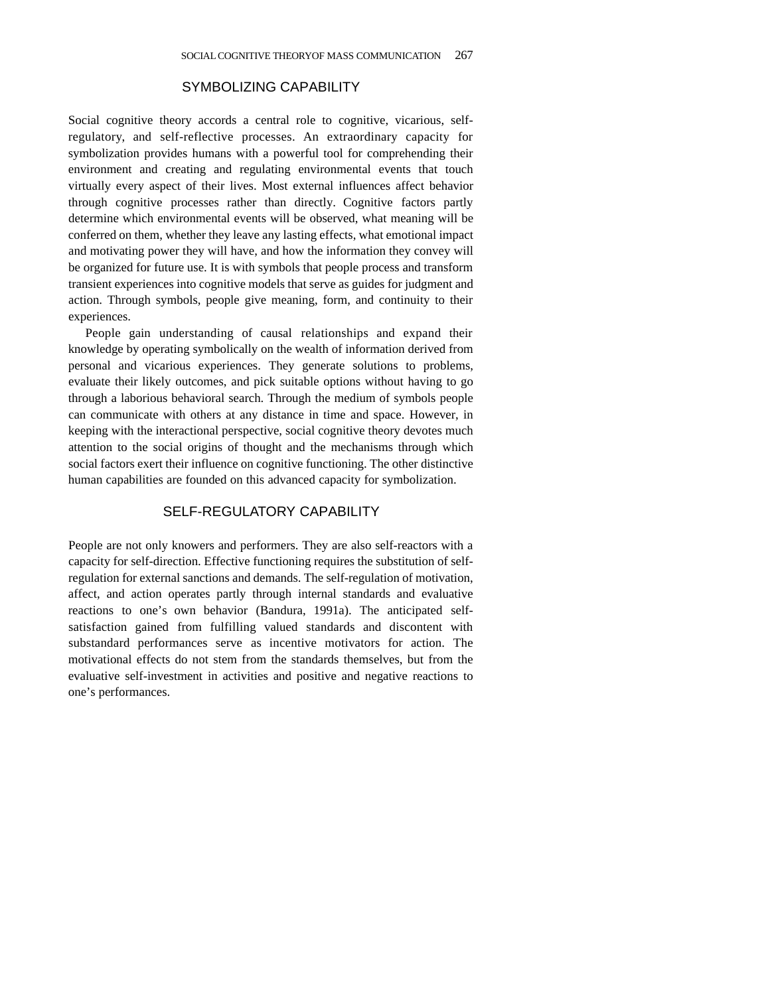## SYMBOLIZING CAPABILITY

Social cognitive theory accords a central role to cognitive, vicarious, selfregulatory, and self-reflective processes. An extraordinary capacity for symbolization provides humans with a powerful tool for comprehending their environment and creating and regulating environmental events that touch virtually every aspect of their lives. Most external influences affect behavior through cognitive processes rather than directly. Cognitive factors partly determine which environmental events will be observed, what meaning will be conferred on them, whether they leave any lasting effects, what emotional impact and motivating power they will have, and how the information they convey will be organized for future use. It is with symbols that people process and transform transient experiences into cognitive models that serve as guides for judgment and action. Through symbols, people give meaning, form, and continuity to their experiences.

People gain understanding of causal relationships and expand their knowledge by operating symbolically on the wealth of information derived from personal and vicarious experiences. They generate solutions to problems, evaluate their likely outcomes, and pick suitable options without having to go through a laborious behavioral search. Through the medium of symbols people can communicate with others at any distance in time and space. However, in keeping with the interactional perspective, social cognitive theory devotes much attention to the social origins of thought and the mechanisms through which social factors exert their influence on cognitive functioning. The other distinctive human capabilities are founded on this advanced capacity for symbolization.

# SELF-REGULATORY CAPABILITY

People are not only knowers and performers. They are also self-reactors with a capacity for self-direction. Effective functioning requires the substitution of selfregulation for external sanctions and demands. The self-regulation of motivation, affect, and action operates partly through internal standards and evaluative reactions to one's own behavior (Bandura, 1991a). The anticipated selfsatisfaction gained from fulfilling valued standards and discontent with substandard performances serve as incentive motivators for action. The motivational effects do not stem from the standards themselves, but from the evaluative self-investment in activities and positive and negative reactions to one's performances.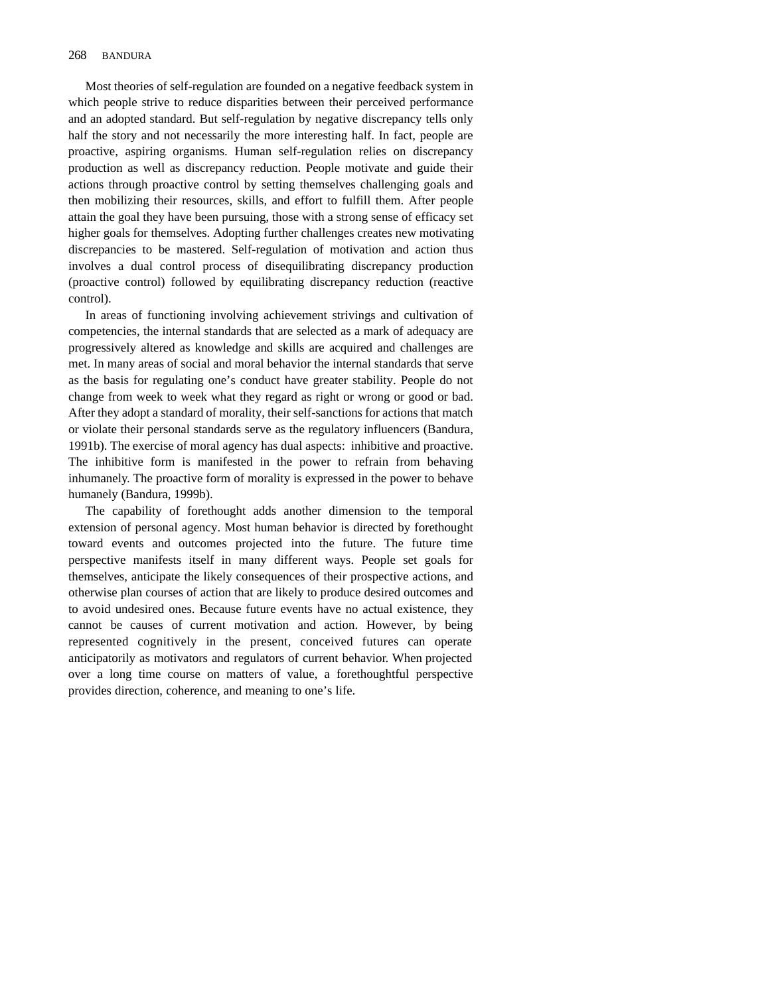Most theories of self-regulation are founded on a negative feedback system in which people strive to reduce disparities between their perceived performance and an adopted standard. But self-regulation by negative discrepancy tells only half the story and not necessarily the more interesting half. In fact, people are proactive, aspiring organisms. Human self-regulation relies on discrepancy production as well as discrepancy reduction. People motivate and guide their actions through proactive control by setting themselves challenging goals and then mobilizing their resources, skills, and effort to fulfill them. After people attain the goal they have been pursuing, those with a strong sense of efficacy set higher goals for themselves. Adopting further challenges creates new motivating discrepancies to be mastered. Self-regulation of motivation and action thus involves a dual control process of disequilibrating discrepancy production (proactive control) followed by equilibrating discrepancy reduction (reactive control).

In areas of functioning involving achievement strivings and cultivation of competencies, the internal standards that are selected as a mark of adequacy are progressively altered as knowledge and skills are acquired and challenges are met. In many areas of social and moral behavior the internal standards that serve as the basis for regulating one's conduct have greater stability. People do not change from week to week what they regard as right or wrong or good or bad. After they adopt a standard of morality, their self-sanctions for actions that match or violate their personal standards serve as the regulatory influencers (Bandura, 1991b). The exercise of moral agency has dual aspects: inhibitive and proactive. The inhibitive form is manifested in the power to refrain from behaving inhumanely. The proactive form of morality is expressed in the power to behave humanely (Bandura, 1999b).

The capability of forethought adds another dimension to the temporal extension of personal agency. Most human behavior is directed by forethought toward events and outcomes projected into the future. The future time perspective manifests itself in many different ways. People set goals for themselves, anticipate the likely consequences of their prospective actions, and otherwise plan courses of action that are likely to produce desired outcomes and to avoid undesired ones. Because future events have no actual existence, they cannot be causes of current motivation and action. However, by being represented cognitively in the present, conceived futures can operate anticipatorily as motivators and regulators of current behavior. When projected over a long time course on matters of value, a forethoughtful perspective provides direction, coherence, and meaning to one's life.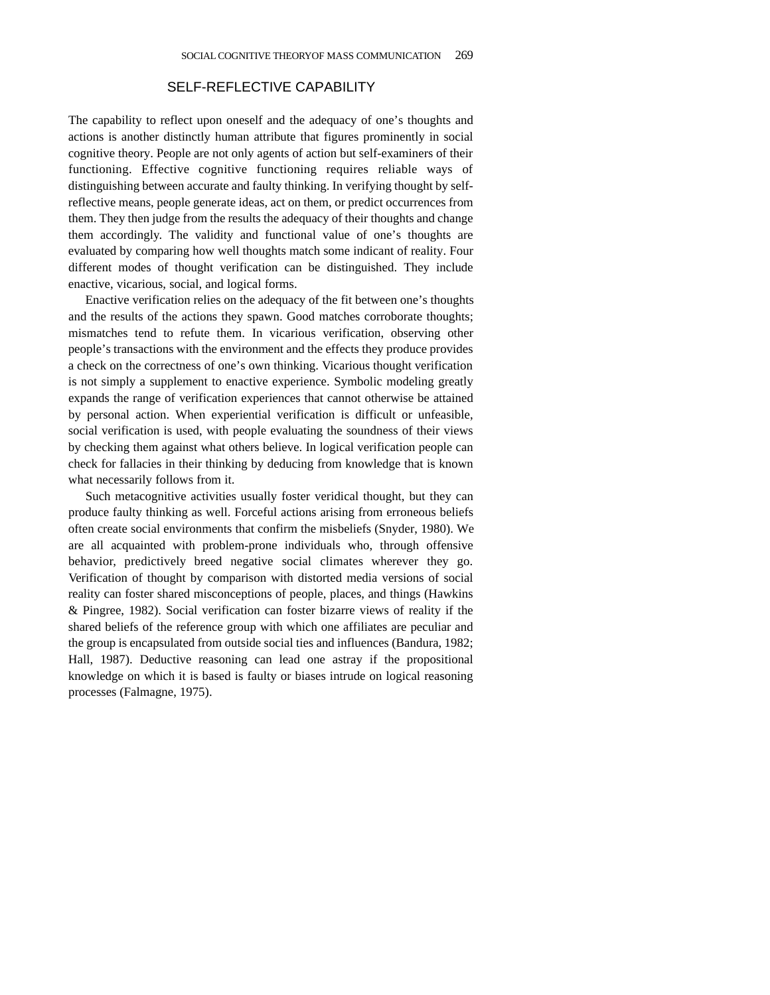#### SELF-REFLECTIVE CAPABILITY

The capability to reflect upon oneself and the adequacy of one's thoughts and actions is another distinctly human attribute that figures prominently in social cognitive theory. People are not only agents of action but self-examiners of their functioning. Effective cognitive functioning requires reliable ways of distinguishing between accurate and faulty thinking. In verifying thought by selfreflective means, people generate ideas, act on them, or predict occurrences from them. They then judge from the results the adequacy of their thoughts and change them accordingly. The validity and functional value of one's thoughts are evaluated by comparing how well thoughts match some indicant of reality. Four different modes of thought verification can be distinguished. They include enactive, vicarious, social, and logical forms.

Enactive verification relies on the adequacy of the fit between one's thoughts and the results of the actions they spawn. Good matches corroborate thoughts; mismatches tend to refute them. In vicarious verification, observing other people's transactions with the environment and the effects they produce provides a check on the correctness of one's own thinking. Vicarious thought verification is not simply a supplement to enactive experience. Symbolic modeling greatly expands the range of verification experiences that cannot otherwise be attained by personal action. When experiential verification is difficult or unfeasible, social verification is used, with people evaluating the soundness of their views by checking them against what others believe. In logical verification people can check for fallacies in their thinking by deducing from knowledge that is known what necessarily follows from it.

Such metacognitive activities usually foster veridical thought, but they can produce faulty thinking as well. Forceful actions arising from erroneous beliefs often create social environments that confirm the misbeliefs (Snyder, 1980). We are all acquainted with problem-prone individuals who, through offensive behavior, predictively breed negative social climates wherever they go. Verification of thought by comparison with distorted media versions of social reality can foster shared misconceptions of people, places, and things (Hawkins & Pingree, 1982). Social verification can foster bizarre views of reality if the shared beliefs of the reference group with which one affiliates are peculiar and the group is encapsulated from outside social ties and influences (Bandura, 1982; Hall, 1987). Deductive reasoning can lead one astray if the propositional knowledge on which it is based is faulty or biases intrude on logical reasoning processes (Falmagne, 1975).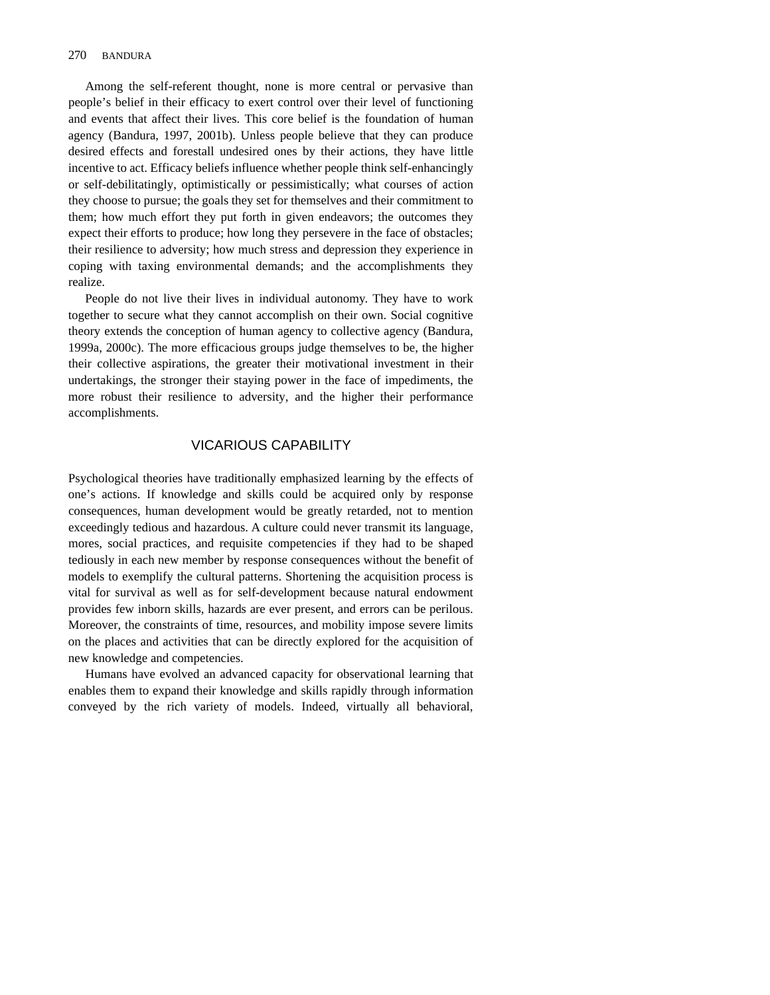Among the self-referent thought, none is more central or pervasive than people's belief in their efficacy to exert control over their level of functioning and events that affect their lives. This core belief is the foundation of human agency (Bandura, 1997, 2001b). Unless people believe that they can produce desired effects and forestall undesired ones by their actions, they have little incentive to act. Efficacy beliefs influence whether people think self-enhancingly or self-debilitatingly, optimistically or pessimistically; what courses of action they choose to pursue; the goals they set for themselves and their commitment to them; how much effort they put forth in given endeavors; the outcomes they expect their efforts to produce; how long they persevere in the face of obstacles; their resilience to adversity; how much stress and depression they experience in coping with taxing environmental demands; and the accomplishments they realize.

People do not live their lives in individual autonomy. They have to work together to secure what they cannot accomplish on their own. Social cognitive theory extends the conception of human agency to collective agency (Bandura, 1999a, 2000c). The more efficacious groups judge themselves to be, the higher their collective aspirations, the greater their motivational investment in their undertakings, the stronger their staying power in the face of impediments, the more robust their resilience to adversity, and the higher their performance accomplishments.

# VICARIOUS CAPABILITY

Psychological theories have traditionally emphasized learning by the effects of one's actions. If knowledge and skills could be acquired only by response consequences, human development would be greatly retarded, not to mention exceedingly tedious and hazardous. A culture could never transmit its language, mores, social practices, and requisite competencies if they had to be shaped tediously in each new member by response consequences without the benefit of models to exemplify the cultural patterns. Shortening the acquisition process is vital for survival as well as for self-development because natural endowment provides few inborn skills, hazards are ever present, and errors can be perilous. Moreover, the constraints of time, resources, and mobility impose severe limits on the places and activities that can be directly explored for the acquisition of new knowledge and competencies.

Humans have evolved an advanced capacity for observational learning that enables them to expand their knowledge and skills rapidly through information conveyed by the rich variety of models. Indeed, virtually all behavioral,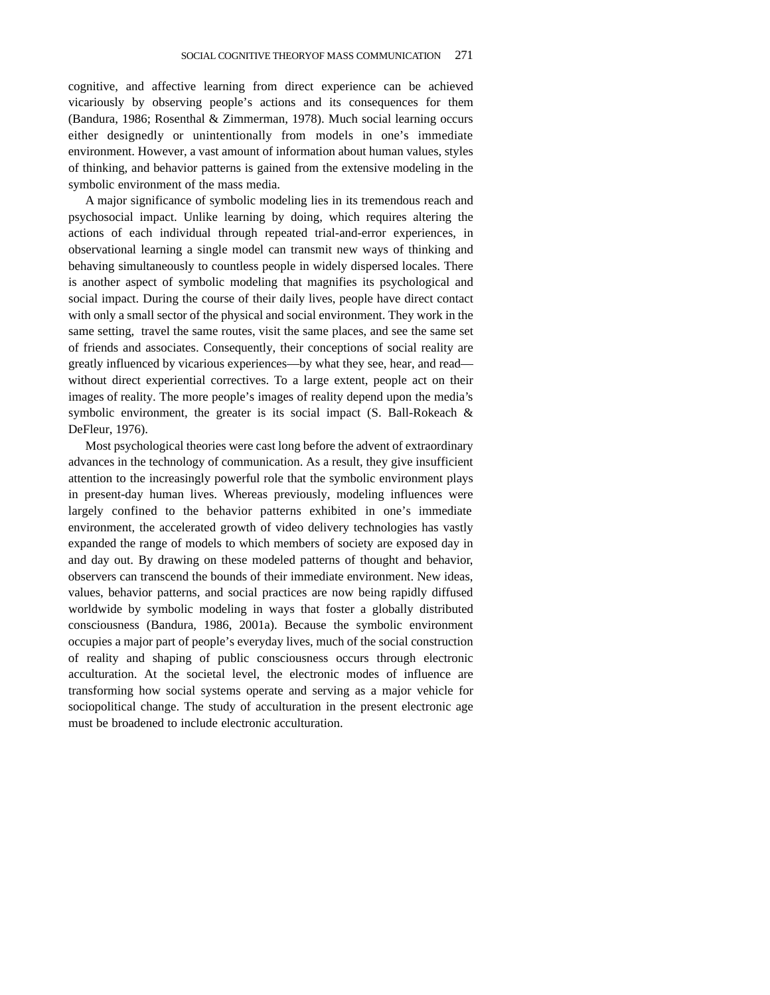cognitive, and affective learning from direct experience can be achieved vicariously by observing people's actions and its consequences for them (Bandura, 1986; Rosenthal & Zimmerman, 1978). Much social learning occurs either designedly or unintentionally from models in one's immediate environment. However, a vast amount of information about human values, styles of thinking, and behavior patterns is gained from the extensive modeling in the symbolic environment of the mass media.

A major significance of symbolic modeling lies in its tremendous reach and psychosocial impact. Unlike learning by doing, which requires altering the actions of each individual through repeated trial-and-error experiences, in observational learning a single model can transmit new ways of thinking and behaving simultaneously to countless people in widely dispersed locales. There is another aspect of symbolic modeling that magnifies its psychological and social impact. During the course of their daily lives, people have direct contact with only a small sector of the physical and social environment. They work in the same setting, travel the same routes, visit the same places, and see the same set of friends and associates. Consequently, their conceptions of social reality are greatly influenced by vicarious experiences—by what they see, hear, and read without direct experiential correctives. To a large extent, people act on their images of reality. The more people's images of reality depend upon the media's symbolic environment, the greater is its social impact (S. Ball-Rokeach  $\&$ DeFleur, 1976).

Most psychological theories were cast long before the advent of extraordinary advances in the technology of communication. As a result, they give insufficient attention to the increasingly powerful role that the symbolic environment plays in present-day human lives. Whereas previously, modeling influences were largely confined to the behavior patterns exhibited in one's immediate environment, the accelerated growth of video delivery technologies has vastly expanded the range of models to which members of society are exposed day in and day out. By drawing on these modeled patterns of thought and behavior, observers can transcend the bounds of their immediate environment. New ideas, values, behavior patterns, and social practices are now being rapidly diffused worldwide by symbolic modeling in ways that foster a globally distributed consciousness (Bandura, 1986, 2001a). Because the symbolic environment occupies a major part of people's everyday lives, much of the social construction of reality and shaping of public consciousness occurs through electronic acculturation. At the societal level, the electronic modes of influence are transforming how social systems operate and serving as a major vehicle for sociopolitical change. The study of acculturation in the present electronic age must be broadened to include electronic acculturation.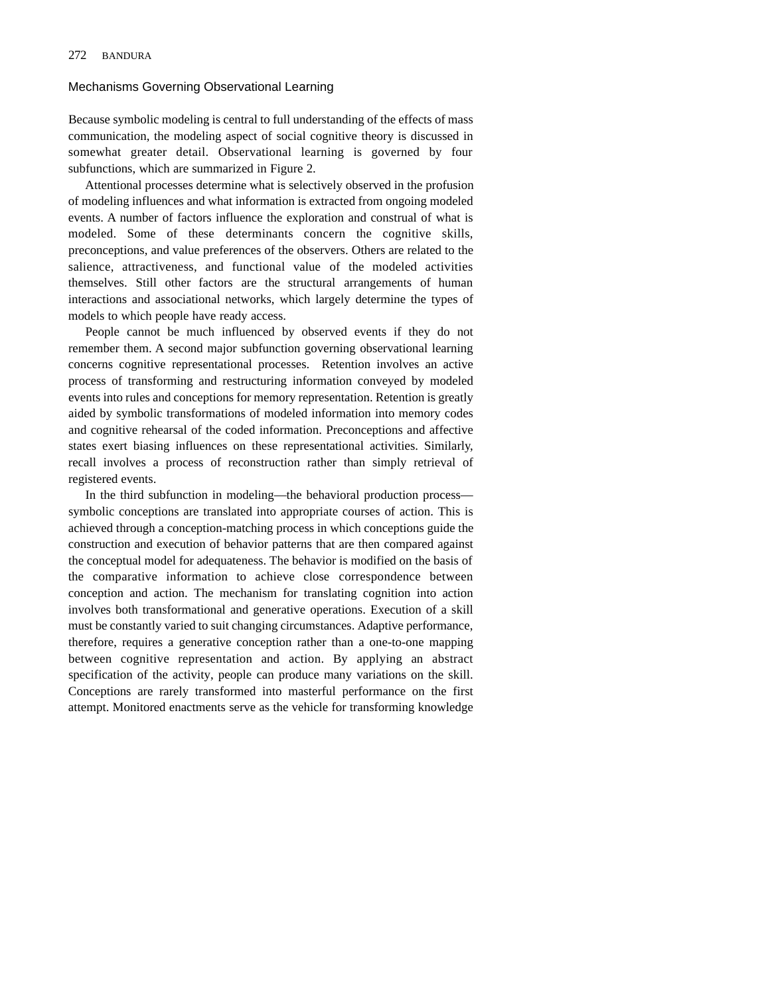# Mechanisms Governing Observational Learning

Because symbolic modeling is central to full understanding of the effects of mass communication, the modeling aspect of social cognitive theory is discussed in somewhat greater detail. Observational learning is governed by four subfunctions, which are summarized in Figure 2.

Attentional processes determine what is selectively observed in the profusion of modeling influences and what information is extracted from ongoing modeled events. A number of factors influence the exploration and construal of what is modeled. Some of these determinants concern the cognitive skills, preconceptions, and value preferences of the observers. Others are related to the salience, attractiveness, and functional value of the modeled activities themselves. Still other factors are the structural arrangements of human interactions and associational networks, which largely determine the types of models to which people have ready access.

People cannot be much influenced by observed events if they do not remember them. A second major subfunction governing observational learning concerns cognitive representational processes. Retention involves an active process of transforming and restructuring information conveyed by modeled events into rules and conceptions for memory representation. Retention is greatly aided by symbolic transformations of modeled information into memory codes and cognitive rehearsal of the coded information. Preconceptions and affective states exert biasing influences on these representational activities. Similarly, recall involves a process of reconstruction rather than simply retrieval of registered events.

In the third subfunction in modeling—the behavioral production process symbolic conceptions are translated into appropriate courses of action. This is achieved through a conception-matching process in which conceptions guide the construction and execution of behavior patterns that are then compared against the conceptual model for adequateness. The behavior is modified on the basis of the comparative information to achieve close correspondence between conception and action. The mechanism for translating cognition into action involves both transformational and generative operations. Execution of a skill must be constantly varied to suit changing circumstances. Adaptive performance, therefore, requires a generative conception rather than a one-to-one mapping between cognitive representation and action. By applying an abstract specification of the activity, people can produce many variations on the skill. Conceptions are rarely transformed into masterful performance on the first attempt. Monitored enactments serve as the vehicle for transforming knowledge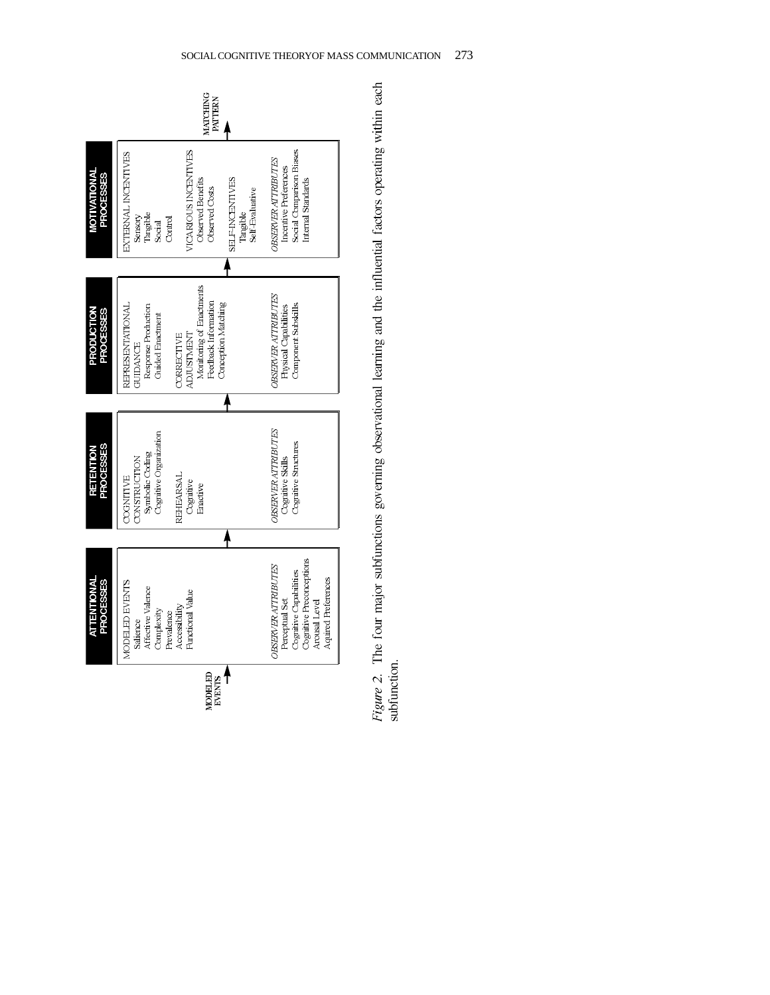

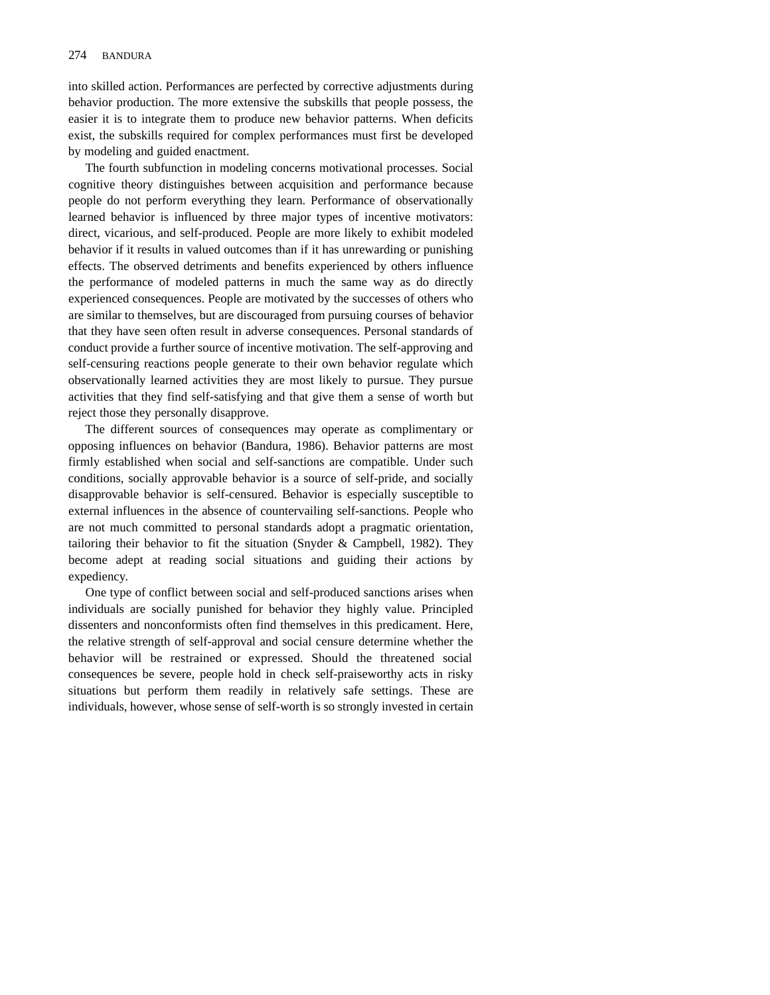into skilled action. Performances are perfected by corrective adjustments during behavior production. The more extensive the subskills that people possess, the easier it is to integrate them to produce new behavior patterns. When deficits exist, the subskills required for complex performances must first be developed by modeling and guided enactment.

The fourth subfunction in modeling concerns motivational processes. Social cognitive theory distinguishes between acquisition and performance because people do not perform everything they learn. Performance of observationally learned behavior is influenced by three major types of incentive motivators: direct, vicarious, and self-produced. People are more likely to exhibit modeled behavior if it results in valued outcomes than if it has unrewarding or punishing effects. The observed detriments and benefits experienced by others influence the performance of modeled patterns in much the same way as do directly experienced consequences. People are motivated by the successes of others who are similar to themselves, but are discouraged from pursuing courses of behavior that they have seen often result in adverse consequences. Personal standards of conduct provide a further source of incentive motivation. The self-approving and self-censuring reactions people generate to their own behavior regulate which observationally learned activities they are most likely to pursue. They pursue activities that they find self-satisfying and that give them a sense of worth but reject those they personally disapprove.

The different sources of consequences may operate as complimentary or opposing influences on behavior (Bandura, 1986). Behavior patterns are most firmly established when social and self-sanctions are compatible. Under such conditions, socially approvable behavior is a source of self-pride, and socially disapprovable behavior is self-censured. Behavior is especially susceptible to external influences in the absence of countervailing self-sanctions. People who are not much committed to personal standards adopt a pragmatic orientation, tailoring their behavior to fit the situation (Snyder & Campbell, 1982). They become adept at reading social situations and guiding their actions by expediency.

One type of conflict between social and self-produced sanctions arises when individuals are socially punished for behavior they highly value. Principled dissenters and nonconformists often find themselves in this predicament. Here, the relative strength of self-approval and social censure determine whether the behavior will be restrained or expressed. Should the threatened social consequences be severe, people hold in check self-praiseworthy acts in risky situations but perform them readily in relatively safe settings. These are individuals, however, whose sense of self-worth is so strongly invested in certain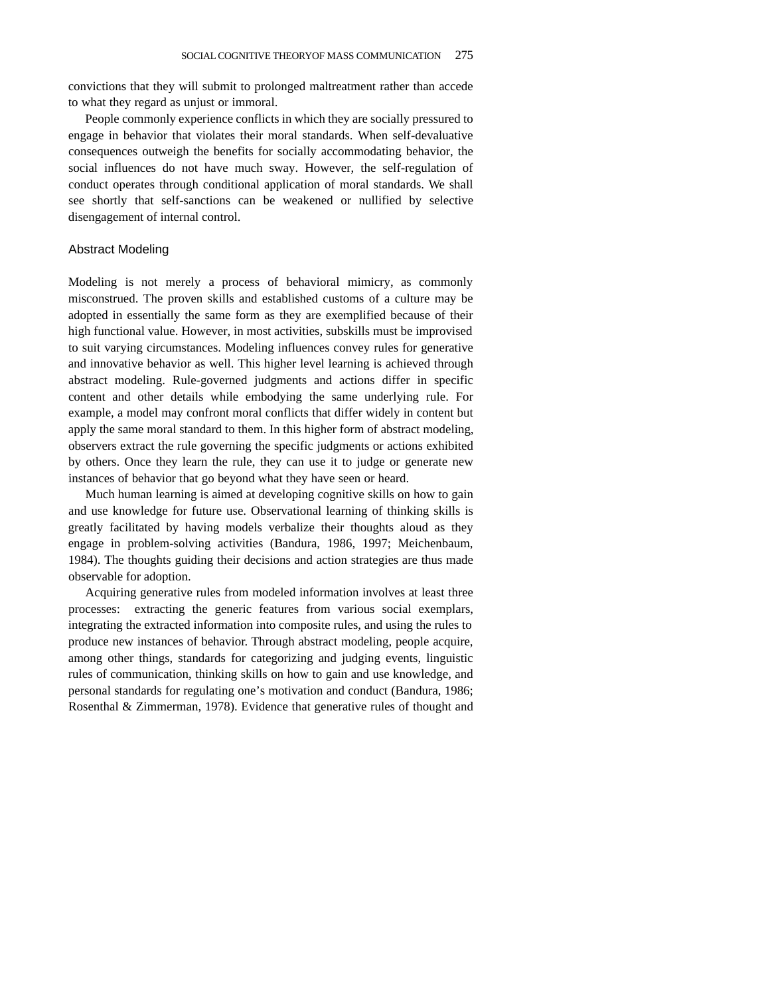convictions that they will submit to prolonged maltreatment rather than accede to what they regard as unjust or immoral.

People commonly experience conflicts in which they are socially pressured to engage in behavior that violates their moral standards. When self-devaluative consequences outweigh the benefits for socially accommodating behavior, the social influences do not have much sway. However, the self-regulation of conduct operates through conditional application of moral standards. We shall see shortly that self-sanctions can be weakened or nullified by selective disengagement of internal control.

#### Abstract Modeling

Modeling is not merely a process of behavioral mimicry, as commonly misconstrued. The proven skills and established customs of a culture may be adopted in essentially the same form as they are exemplified because of their high functional value. However, in most activities, subskills must be improvised to suit varying circumstances. Modeling influences convey rules for generative and innovative behavior as well. This higher level learning is achieved through abstract modeling. Rule-governed judgments and actions differ in specific content and other details while embodying the same underlying rule. For example, a model may confront moral conflicts that differ widely in content but apply the same moral standard to them. In this higher form of abstract modeling, observers extract the rule governing the specific judgments or actions exhibited by others. Once they learn the rule, they can use it to judge or generate new instances of behavior that go beyond what they have seen or heard.

Much human learning is aimed at developing cognitive skills on how to gain and use knowledge for future use. Observational learning of thinking skills is greatly facilitated by having models verbalize their thoughts aloud as they engage in problem-solving activities (Bandura, 1986, 1997; Meichenbaum, 1984). The thoughts guiding their decisions and action strategies are thus made observable for adoption.

Acquiring generative rules from modeled information involves at least three processes: extracting the generic features from various social exemplars, integrating the extracted information into composite rules, and using the rules to produce new instances of behavior. Through abstract modeling, people acquire, among other things, standards for categorizing and judging events, linguistic rules of communication, thinking skills on how to gain and use knowledge, and personal standards for regulating one's motivation and conduct (Bandura, 1986; Rosenthal & Zimmerman, 1978). Evidence that generative rules of thought and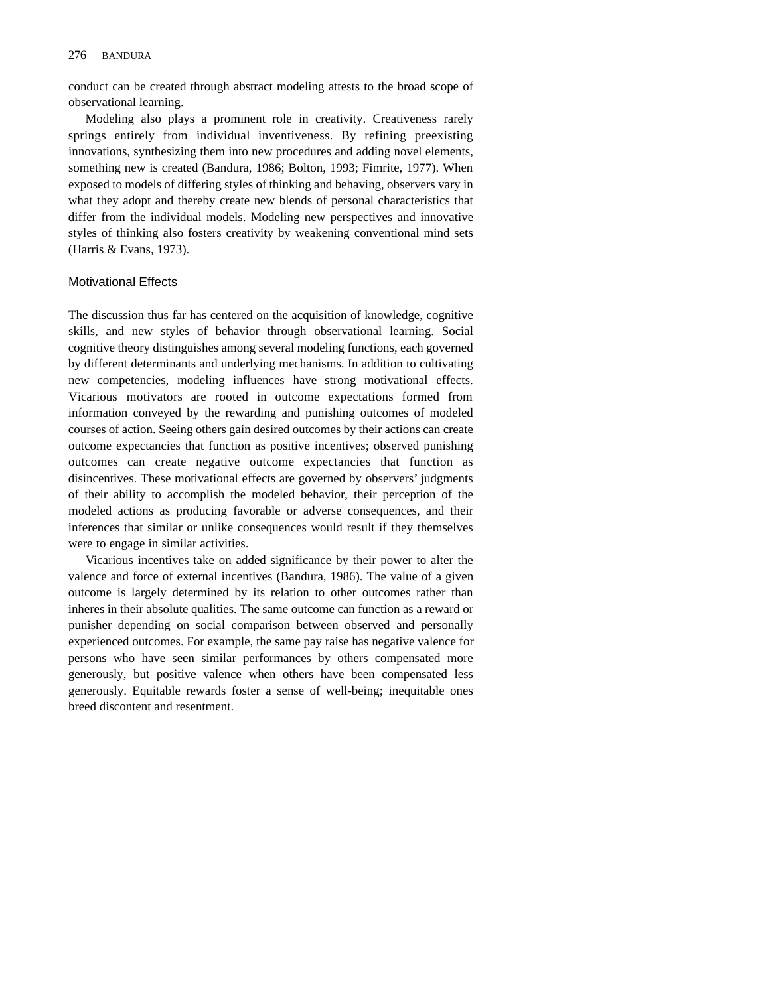conduct can be created through abstract modeling attests to the broad scope of observational learning.

Modeling also plays a prominent role in creativity. Creativeness rarely springs entirely from individual inventiveness. By refining preexisting innovations, synthesizing them into new procedures and adding novel elements, something new is created (Bandura, 1986; Bolton, 1993; Fimrite, 1977). When exposed to models of differing styles of thinking and behaving, observers vary in what they adopt and thereby create new blends of personal characteristics that differ from the individual models. Modeling new perspectives and innovative styles of thinking also fosters creativity by weakening conventional mind sets (Harris & Evans, 1973).

# Motivational Effects

The discussion thus far has centered on the acquisition of knowledge, cognitive skills, and new styles of behavior through observational learning. Social cognitive theory distinguishes among several modeling functions, each governed by different determinants and underlying mechanisms. In addition to cultivating new competencies, modeling influences have strong motivational effects. Vicarious motivators are rooted in outcome expectations formed from information conveyed by the rewarding and punishing outcomes of modeled courses of action. Seeing others gain desired outcomes by their actions can create outcome expectancies that function as positive incentives; observed punishing outcomes can create negative outcome expectancies that function as disincentives. These motivational effects are governed by observers' judgments of their ability to accomplish the modeled behavior, their perception of the modeled actions as producing favorable or adverse consequences, and their inferences that similar or unlike consequences would result if they themselves were to engage in similar activities.

Vicarious incentives take on added significance by their power to alter the valence and force of external incentives (Bandura, 1986). The value of a given outcome is largely determined by its relation to other outcomes rather than inheres in their absolute qualities. The same outcome can function as a reward or punisher depending on social comparison between observed and personally experienced outcomes. For example, the same pay raise has negative valence for persons who have seen similar performances by others compensated more generously, but positive valence when others have been compensated less generously. Equitable rewards foster a sense of well-being; inequitable ones breed discontent and resentment.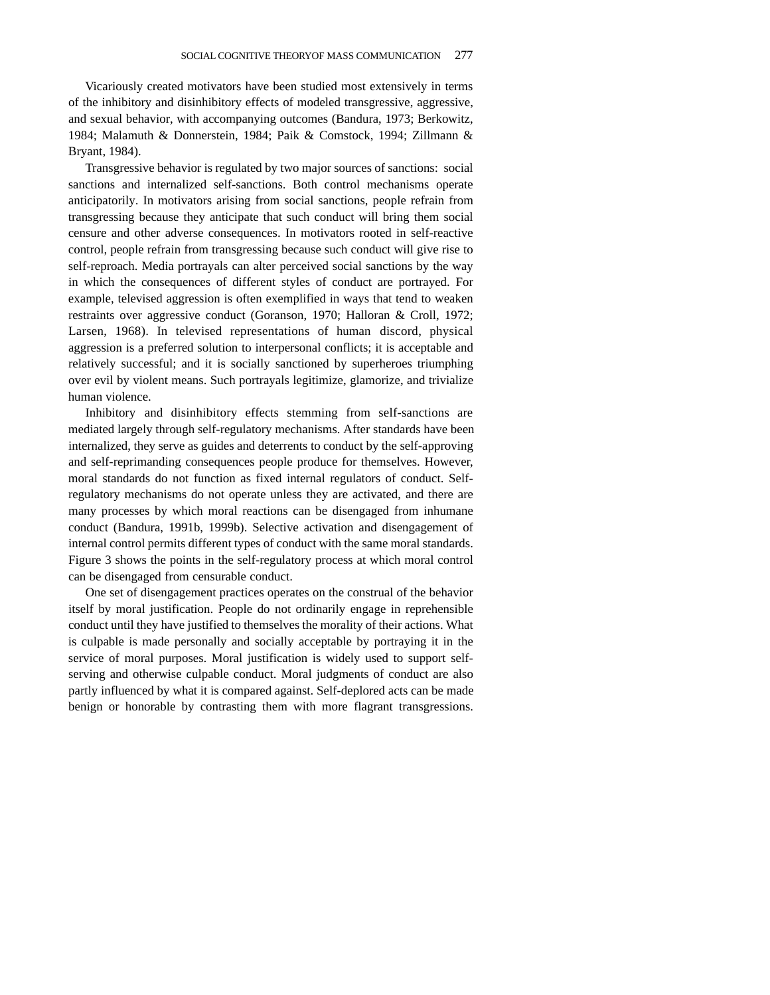Vicariously created motivators have been studied most extensively in terms of the inhibitory and disinhibitory effects of modeled transgressive, aggressive, and sexual behavior, with accompanying outcomes (Bandura, 1973; Berkowitz, 1984; Malamuth & Donnerstein, 1984; Paik & Comstock, 1994; Zillmann & Bryant, 1984).

Transgressive behavior is regulated by two major sources of sanctions: social sanctions and internalized self-sanctions. Both control mechanisms operate anticipatorily. In motivators arising from social sanctions, people refrain from transgressing because they anticipate that such conduct will bring them social censure and other adverse consequences. In motivators rooted in self-reactive control, people refrain from transgressing because such conduct will give rise to self-reproach. Media portrayals can alter perceived social sanctions by the way in which the consequences of different styles of conduct are portrayed. For example, televised aggression is often exemplified in ways that tend to weaken restraints over aggressive conduct (Goranson, 1970; Halloran & Croll, 1972; Larsen, 1968). In televised representations of human discord, physical aggression is a preferred solution to interpersonal conflicts; it is acceptable and relatively successful; and it is socially sanctioned by superheroes triumphing over evil by violent means. Such portrayals legitimize, glamorize, and trivialize human violence.

Inhibitory and disinhibitory effects stemming from self-sanctions are mediated largely through self-regulatory mechanisms. After standards have been internalized, they serve as guides and deterrents to conduct by the self-approving and self-reprimanding consequences people produce for themselves. However, moral standards do not function as fixed internal regulators of conduct. Selfregulatory mechanisms do not operate unless they are activated, and there are many processes by which moral reactions can be disengaged from inhumane conduct (Bandura, 1991b, 1999b). Selective activation and disengagement of internal control permits different types of conduct with the same moral standards. Figure 3 shows the points in the self-regulatory process at which moral control can be disengaged from censurable conduct.

One set of disengagement practices operates on the construal of the behavior itself by moral justification. People do not ordinarily engage in reprehensible conduct until they have justified to themselves the morality of their actions. What is culpable is made personally and socially acceptable by portraying it in the service of moral purposes. Moral justification is widely used to support selfserving and otherwise culpable conduct. Moral judgments of conduct are also partly influenced by what it is compared against. Self-deplored acts can be made benign or honorable by contrasting them with more flagrant transgressions.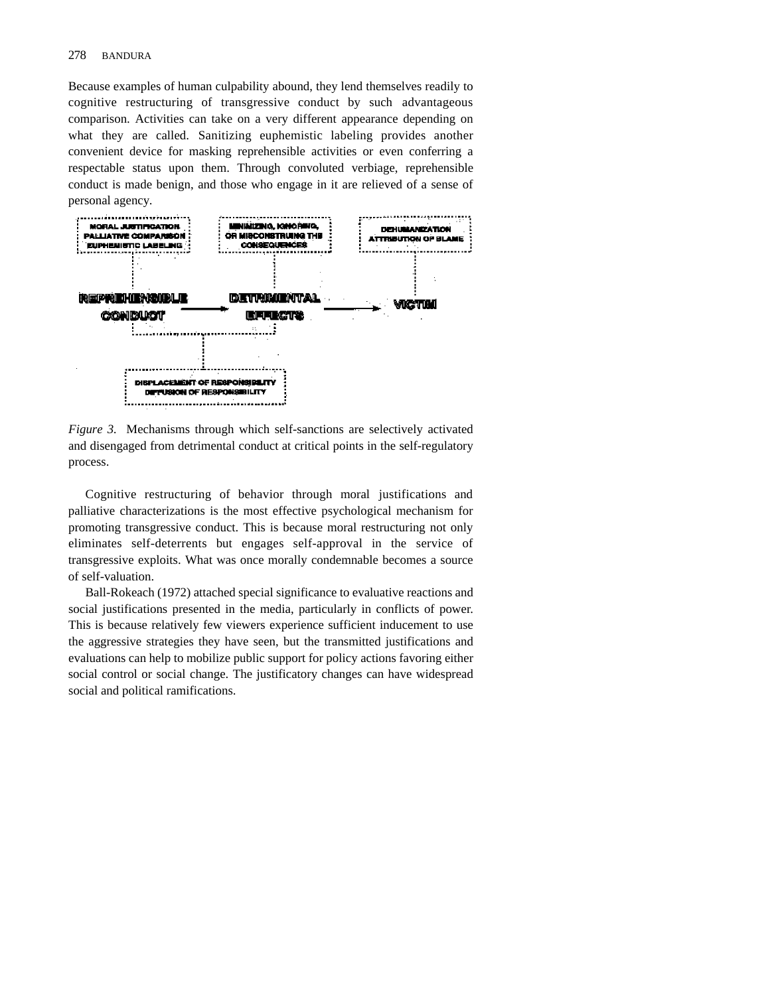Because examples of human culpability abound, they lend themselves readily to cognitive restructuring of transgressive conduct by such advantageous comparison. Activities can take on a very different appearance depending on what they are called. Sanitizing euphemistic labeling provides another convenient device for masking reprehensible activities or even conferring a respectable status upon them. Through convoluted verbiage, reprehensible conduct is made benign, and those who engage in it are relieved of a sense of personal agency.



*Figure 3.* Mechanisms through which self-sanctions are selectively activated and disengaged from detrimental conduct at critical points in the self-regulatory process.

Cognitive restructuring of behavior through moral justifications and palliative characterizations is the most effective psychological mechanism for promoting transgressive conduct. This is because moral restructuring not only eliminates self-deterrents but engages self-approval in the service of transgressive exploits. What was once morally condemnable becomes a source of self-valuation.

Ball-Rokeach (1972) attached special significance to evaluative reactions and social justifications presented in the media, particularly in conflicts of power. This is because relatively few viewers experience sufficient inducement to use the aggressive strategies they have seen, but the transmitted justifications and evaluations can help to mobilize public support for policy actions favoring either social control or social change. The justificatory changes can have widespread social and political ramifications.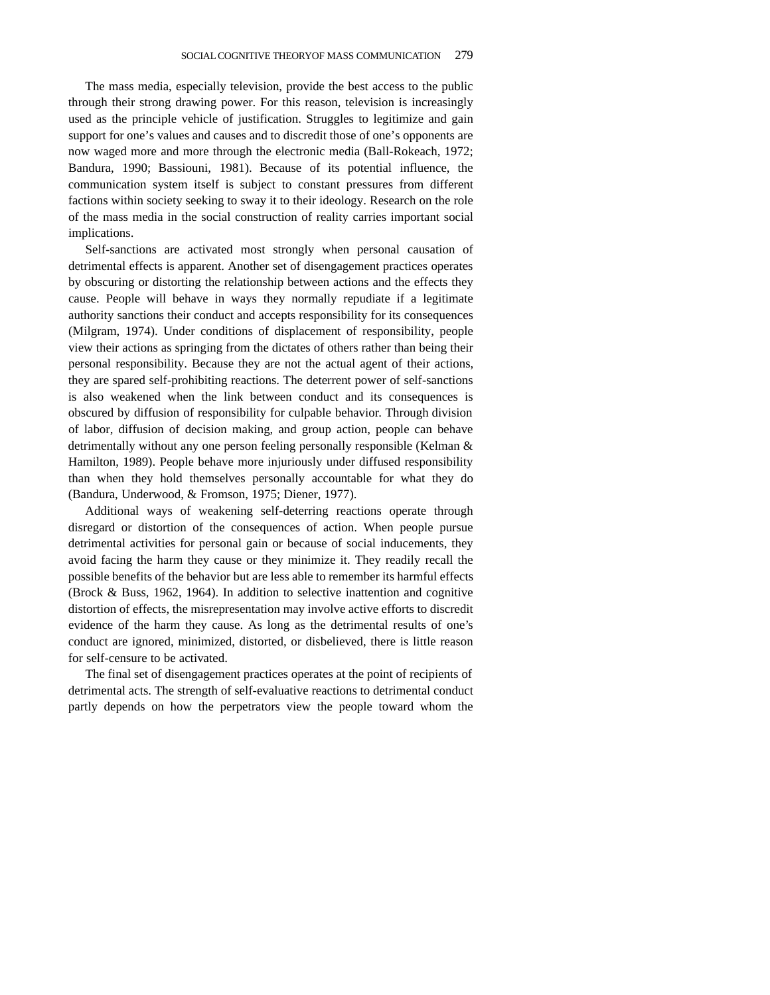The mass media, especially television, provide the best access to the public through their strong drawing power. For this reason, television is increasingly used as the principle vehicle of justification. Struggles to legitimize and gain support for one's values and causes and to discredit those of one's opponents are now waged more and more through the electronic media (Ball-Rokeach, 1972; Bandura, 1990; Bassiouni, 1981). Because of its potential influence, the communication system itself is subject to constant pressures from different factions within society seeking to sway it to their ideology. Research on the role of the mass media in the social construction of reality carries important social implications.

Self-sanctions are activated most strongly when personal causation of detrimental effects is apparent. Another set of disengagement practices operates by obscuring or distorting the relationship between actions and the effects they cause. People will behave in ways they normally repudiate if a legitimate authority sanctions their conduct and accepts responsibility for its consequences (Milgram, 1974). Under conditions of displacement of responsibility, people view their actions as springing from the dictates of others rather than being their personal responsibility. Because they are not the actual agent of their actions, they are spared self-prohibiting reactions. The deterrent power of self-sanctions is also weakened when the link between conduct and its consequences is obscured by diffusion of responsibility for culpable behavior. Through division of labor, diffusion of decision making, and group action, people can behave detrimentally without any one person feeling personally responsible (Kelman & Hamilton, 1989). People behave more injuriously under diffused responsibility than when they hold themselves personally accountable for what they do (Bandura, Underwood, & Fromson, 1975; Diener, 1977).

Additional ways of weakening self-deterring reactions operate through disregard or distortion of the consequences of action. When people pursue detrimental activities for personal gain or because of social inducements, they avoid facing the harm they cause or they minimize it. They readily recall the possible benefits of the behavior but are less able to remember its harmful effects (Brock & Buss, 1962, 1964). In addition to selective inattention and cognitive distortion of effects, the misrepresentation may involve active efforts to discredit evidence of the harm they cause. As long as the detrimental results of one's conduct are ignored, minimized, distorted, or disbelieved, there is little reason for self-censure to be activated.

The final set of disengagement practices operates at the point of recipients of detrimental acts. The strength of self-evaluative reactions to detrimental conduct partly depends on how the perpetrators view the people toward whom the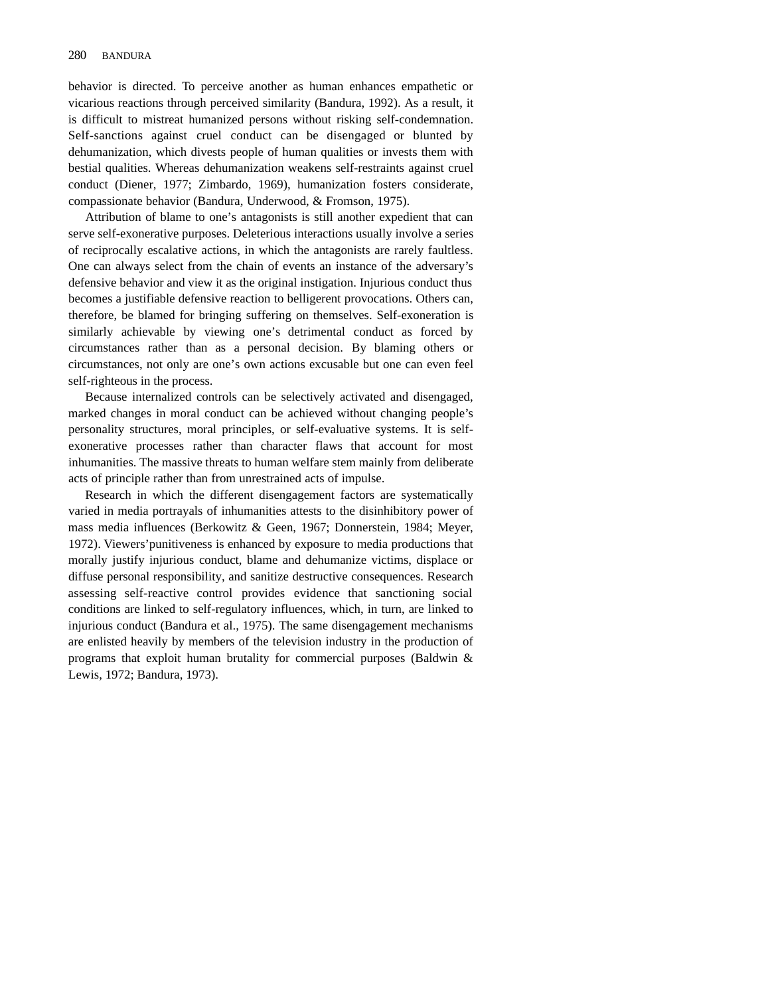behavior is directed. To perceive another as human enhances empathetic or vicarious reactions through perceived similarity (Bandura, 1992). As a result, it is difficult to mistreat humanized persons without risking self-condemnation. Self-sanctions against cruel conduct can be disengaged or blunted by dehumanization, which divests people of human qualities or invests them with bestial qualities. Whereas dehumanization weakens self-restraints against cruel conduct (Diener, 1977; Zimbardo, 1969), humanization fosters considerate, compassionate behavior (Bandura, Underwood, & Fromson, 1975).

Attribution of blame to one's antagonists is still another expedient that can serve self-exonerative purposes. Deleterious interactions usually involve a series of reciprocally escalative actions, in which the antagonists are rarely faultless. One can always select from the chain of events an instance of the adversary's defensive behavior and view it as the original instigation. Injurious conduct thus becomes a justifiable defensive reaction to belligerent provocations. Others can, therefore, be blamed for bringing suffering on themselves. Self-exoneration is similarly achievable by viewing one's detrimental conduct as forced by circumstances rather than as a personal decision. By blaming others or circumstances, not only are one's own actions excusable but one can even feel self-righteous in the process.

Because internalized controls can be selectively activated and disengaged, marked changes in moral conduct can be achieved without changing people's personality structures, moral principles, or self-evaluative systems. It is selfexonerative processes rather than character flaws that account for most inhumanities. The massive threats to human welfare stem mainly from deliberate acts of principle rather than from unrestrained acts of impulse.

Research in which the different disengagement factors are systematically varied in media portrayals of inhumanities attests to the disinhibitory power of mass media influences (Berkowitz & Geen, 1967; Donnerstein, 1984; Meyer, 1972). Viewers'punitiveness is enhanced by exposure to media productions that morally justify injurious conduct, blame and dehumanize victims, displace or diffuse personal responsibility, and sanitize destructive consequences. Research assessing self-reactive control provides evidence that sanctioning social conditions are linked to self-regulatory influences, which, in turn, are linked to injurious conduct (Bandura et al., 1975). The same disengagement mechanisms are enlisted heavily by members of the television industry in the production of programs that exploit human brutality for commercial purposes (Baldwin & Lewis, 1972; Bandura, 1973).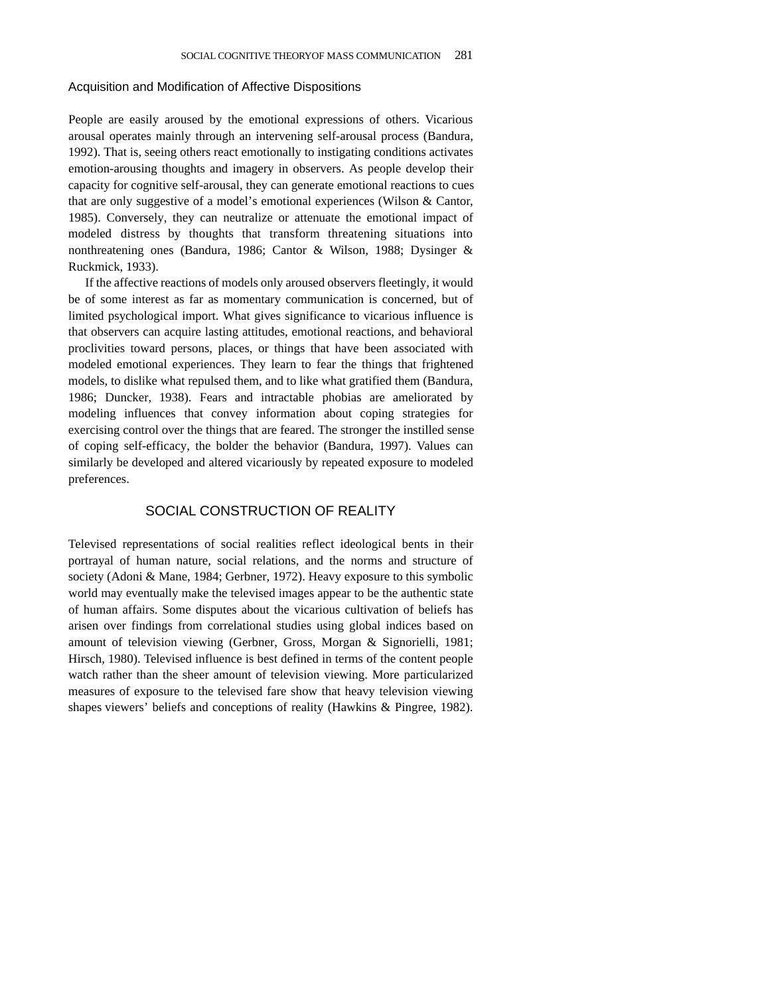#### Acquisition and Modification of Affective Dispositions

People are easily aroused by the emotional expressions of others. Vicarious arousal operates mainly through an intervening self-arousal process (Bandura, 1992). That is, seeing others react emotionally to instigating conditions activates emotion-arousing thoughts and imagery in observers. As people develop their capacity for cognitive self-arousal, they can generate emotional reactions to cues that are only suggestive of a model's emotional experiences (Wilson & Cantor, 1985). Conversely, they can neutralize or attenuate the emotional impact of modeled distress by thoughts that transform threatening situations into nonthreatening ones (Bandura, 1986; Cantor & Wilson, 1988; Dysinger & Ruckmick, 1933).

If the affective reactions of models only aroused observers fleetingly, it would be of some interest as far as momentary communication is concerned, but of limited psychological import. What gives significance to vicarious influence is that observers can acquire lasting attitudes, emotional reactions, and behavioral proclivities toward persons, places, or things that have been associated with modeled emotional experiences. They learn to fear the things that frightened models, to dislike what repulsed them, and to like what gratified them (Bandura, 1986; Duncker, 1938). Fears and intractable phobias are ameliorated by modeling influences that convey information about coping strategies for exercising control over the things that are feared. The stronger the instilled sense of coping self-efficacy, the bolder the behavior (Bandura, 1997). Values can similarly be developed and altered vicariously by repeated exposure to modeled preferences.

#### SOCIAL CONSTRUCTION OF REALITY

Televised representations of social realities reflect ideological bents in their portrayal of human nature, social relations, and the norms and structure of society (Adoni & Mane, 1984; Gerbner, 1972). Heavy exposure to this symbolic world may eventually make the televised images appear to be the authentic state of human affairs. Some disputes about the vicarious cultivation of beliefs has arisen over findings from correlational studies using global indices based on amount of television viewing (Gerbner, Gross, Morgan & Signorielli, 1981; Hirsch, 1980). Televised influence is best defined in terms of the content people watch rather than the sheer amount of television viewing. More particularized measures of exposure to the televised fare show that heavy television viewing shapes viewers' beliefs and conceptions of reality (Hawkins & Pingree, 1982).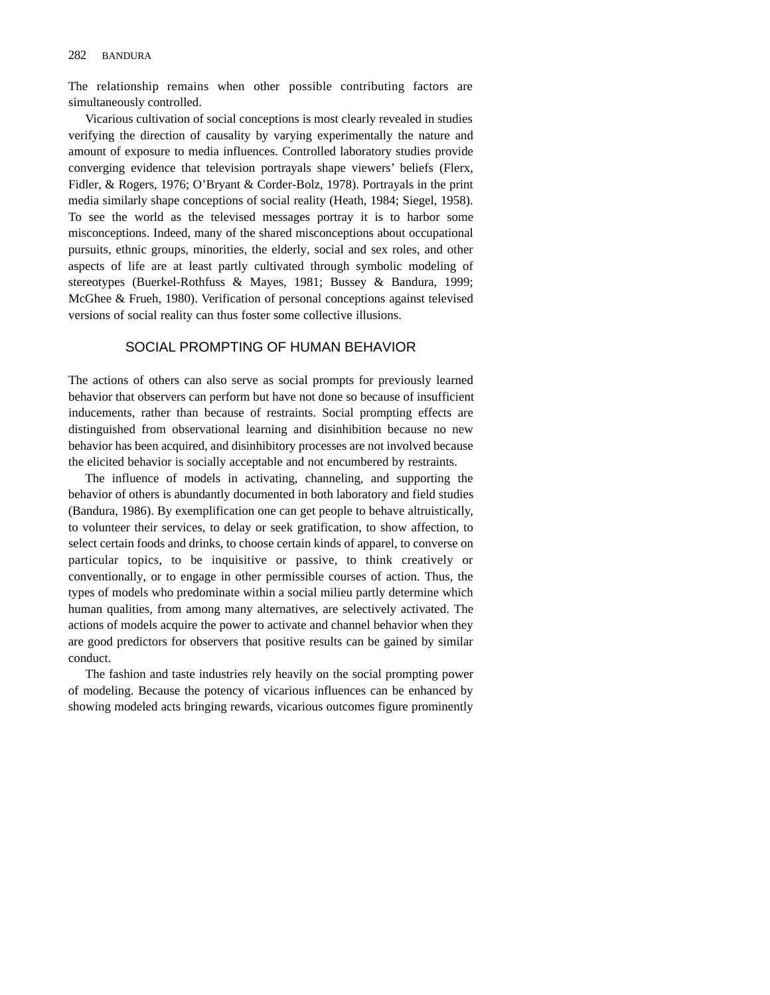The relationship remains when other possible contributing factors are simultaneously controlled.

Vicarious cultivation of social conceptions is most clearly revealed in studies verifying the direction of causality by varying experimentally the nature and amount of exposure to media influences. Controlled laboratory studies provide converging evidence that television portrayals shape viewers' beliefs (Flerx, Fidler, & Rogers, 1976; O'Bryant & Corder-Bolz, 1978). Portrayals in the print media similarly shape conceptions of social reality (Heath, 1984; Siegel, 1958). To see the world as the televised messages portray it is to harbor some misconceptions. Indeed, many of the shared misconceptions about occupational pursuits, ethnic groups, minorities, the elderly, social and sex roles, and other aspects of life are at least partly cultivated through symbolic modeling of stereotypes (Buerkel-Rothfuss & Mayes, 1981; Bussey & Bandura, 1999; McGhee & Frueh, 1980). Verification of personal conceptions against televised versions of social reality can thus foster some collective illusions.

# SOCIAL PROMPTING OF HUMAN BEHAVIOR

The actions of others can also serve as social prompts for previously learned behavior that observers can perform but have not done so because of insufficient inducements, rather than because of restraints. Social prompting effects are distinguished from observational learning and disinhibition because no new behavior has been acquired, and disinhibitory processes are not involved because the elicited behavior is socially acceptable and not encumbered by restraints.

The influence of models in activating, channeling, and supporting the behavior of others is abundantly documented in both laboratory and field studies (Bandura, 1986). By exemplification one can get people to behave altruistically, to volunteer their services, to delay or seek gratification, to show affection, to select certain foods and drinks, to choose certain kinds of apparel, to converse on particular topics, to be inquisitive or passive, to think creatively or conventionally, or to engage in other permissible courses of action. Thus, the types of models who predominate within a social milieu partly determine which human qualities, from among many alternatives, are selectively activated. The actions of models acquire the power to activate and channel behavior when they are good predictors for observers that positive results can be gained by similar conduct.

The fashion and taste industries rely heavily on the social prompting power of modeling. Because the potency of vicarious influences can be enhanced by showing modeled acts bringing rewards, vicarious outcomes figure prominently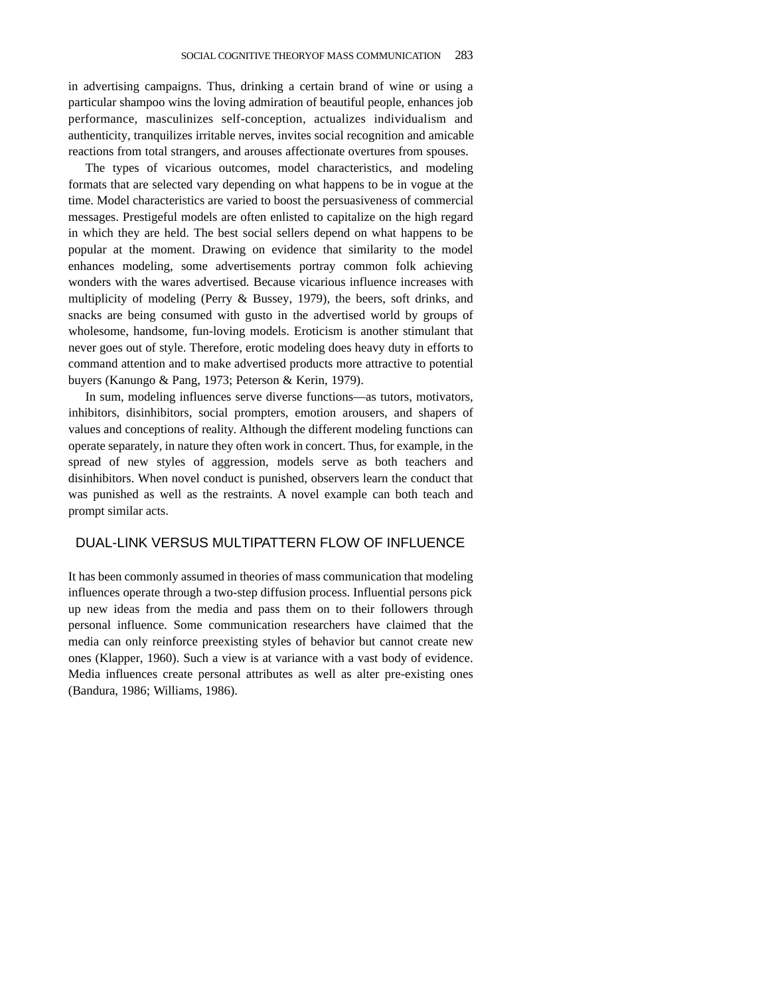in advertising campaigns. Thus, drinking a certain brand of wine or using a particular shampoo wins the loving admiration of beautiful people, enhances job performance, masculinizes self-conception, actualizes individualism and authenticity, tranquilizes irritable nerves, invites social recognition and amicable reactions from total strangers, and arouses affectionate overtures from spouses.

The types of vicarious outcomes, model characteristics, and modeling formats that are selected vary depending on what happens to be in vogue at the time. Model characteristics are varied to boost the persuasiveness of commercial messages. Prestigeful models are often enlisted to capitalize on the high regard in which they are held. The best social sellers depend on what happens to be popular at the moment. Drawing on evidence that similarity to the model enhances modeling, some advertisements portray common folk achieving wonders with the wares advertised. Because vicarious influence increases with multiplicity of modeling (Perry & Bussey, 1979), the beers, soft drinks, and snacks are being consumed with gusto in the advertised world by groups of wholesome, handsome, fun-loving models. Eroticism is another stimulant that never goes out of style. Therefore, erotic modeling does heavy duty in efforts to command attention and to make advertised products more attractive to potential buyers (Kanungo & Pang, 1973; Peterson & Kerin, 1979).

In sum, modeling influences serve diverse functions—as tutors, motivators, inhibitors, disinhibitors, social prompters, emotion arousers, and shapers of values and conceptions of reality. Although the different modeling functions can operate separately, in nature they often work in concert. Thus, for example, in the spread of new styles of aggression, models serve as both teachers and disinhibitors. When novel conduct is punished, observers learn the conduct that was punished as well as the restraints. A novel example can both teach and prompt similar acts.

# DUAL-LINK VERSUS MULTIPATTERN FLOW OF INFLUENCE

It has been commonly assumed in theories of mass communication that modeling influences operate through a two-step diffusion process. Influential persons pick up new ideas from the media and pass them on to their followers through personal influence. Some communication researchers have claimed that the media can only reinforce preexisting styles of behavior but cannot create new ones (Klapper, 1960). Such a view is at variance with a vast body of evidence. Media influences create personal attributes as well as alter pre-existing ones (Bandura, 1986; Williams, 1986).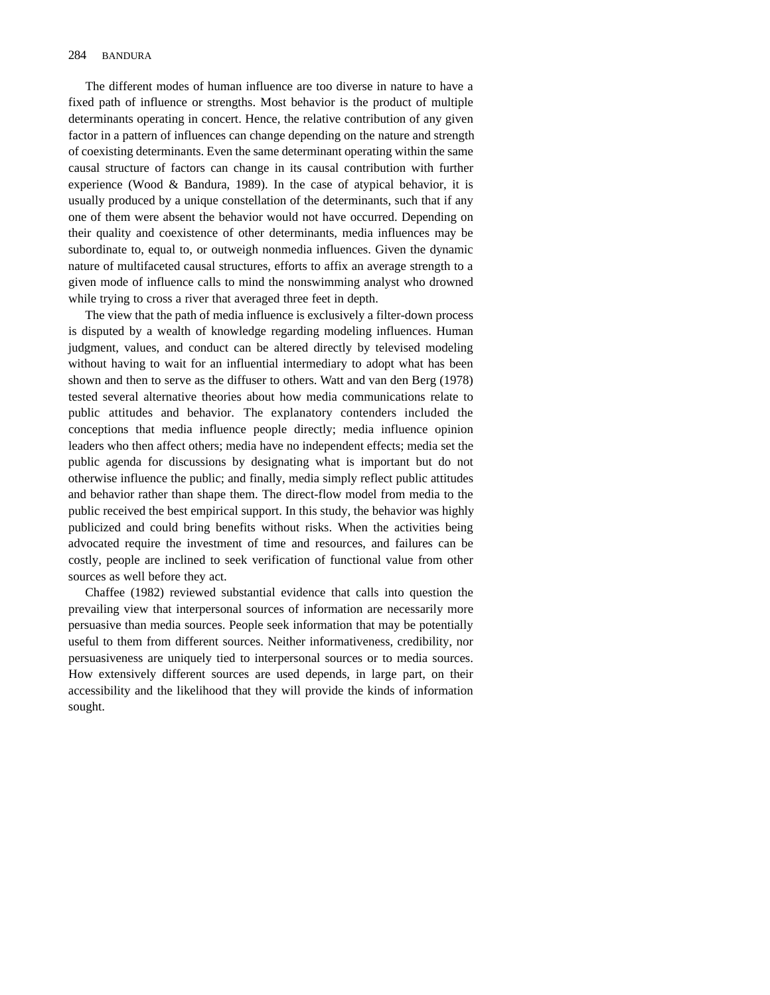The different modes of human influence are too diverse in nature to have a fixed path of influence or strengths. Most behavior is the product of multiple determinants operating in concert. Hence, the relative contribution of any given factor in a pattern of influences can change depending on the nature and strength of coexisting determinants. Even the same determinant operating within the same causal structure of factors can change in its causal contribution with further experience (Wood  $\&$  Bandura, 1989). In the case of atypical behavior, it is usually produced by a unique constellation of the determinants, such that if any one of them were absent the behavior would not have occurred. Depending on their quality and coexistence of other determinants, media influences may be subordinate to, equal to, or outweigh nonmedia influences. Given the dynamic nature of multifaceted causal structures, efforts to affix an average strength to a given mode of influence calls to mind the nonswimming analyst who drowned while trying to cross a river that averaged three feet in depth.

The view that the path of media influence is exclusively a filter-down process is disputed by a wealth of knowledge regarding modeling influences. Human judgment, values, and conduct can be altered directly by televised modeling without having to wait for an influential intermediary to adopt what has been shown and then to serve as the diffuser to others. Watt and van den Berg (1978) tested several alternative theories about how media communications relate to public attitudes and behavior. The explanatory contenders included the conceptions that media influence people directly; media influence opinion leaders who then affect others; media have no independent effects; media set the public agenda for discussions by designating what is important but do not otherwise influence the public; and finally, media simply reflect public attitudes and behavior rather than shape them. The direct-flow model from media to the public received the best empirical support. In this study, the behavior was highly publicized and could bring benefits without risks. When the activities being advocated require the investment of time and resources, and failures can be costly, people are inclined to seek verification of functional value from other sources as well before they act.

Chaffee (1982) reviewed substantial evidence that calls into question the prevailing view that interpersonal sources of information are necessarily more persuasive than media sources. People seek information that may be potentially useful to them from different sources. Neither informativeness, credibility, nor persuasiveness are uniquely tied to interpersonal sources or to media sources. How extensively different sources are used depends, in large part, on their accessibility and the likelihood that they will provide the kinds of information sought.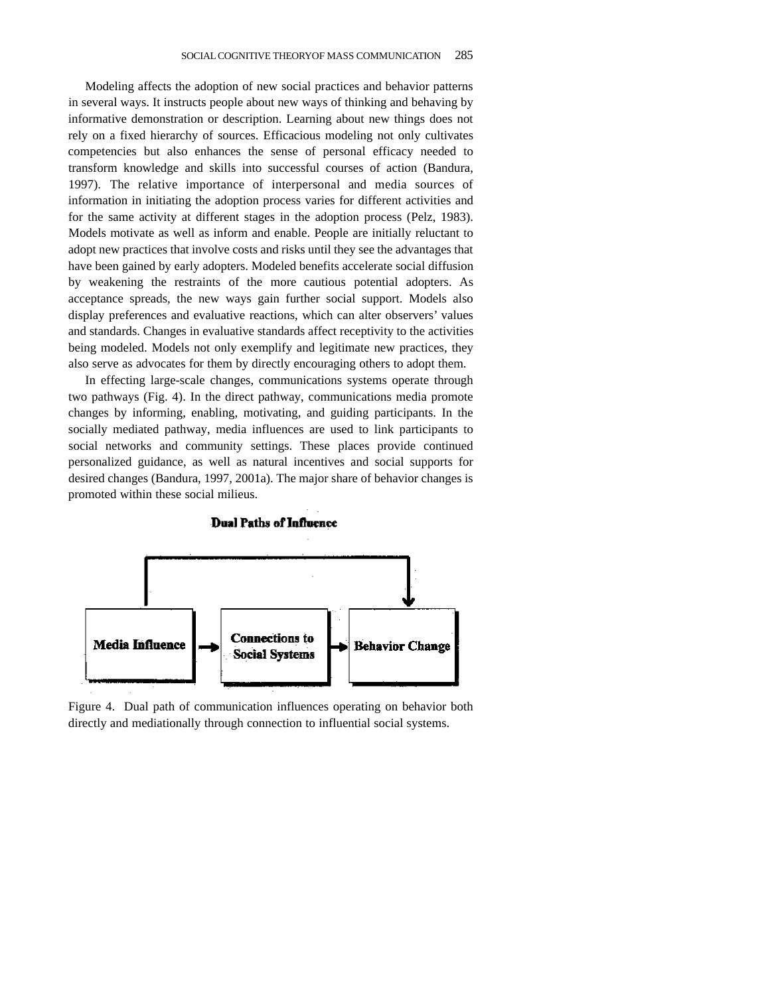Modeling affects the adoption of new social practices and behavior patterns in several ways. It instructs people about new ways of thinking and behaving by informative demonstration or description. Learning about new things does not rely on a fixed hierarchy of sources. Efficacious modeling not only cultivates competencies but also enhances the sense of personal efficacy needed to transform knowledge and skills into successful courses of action (Bandura, 1997). The relative importance of interpersonal and media sources of information in initiating the adoption process varies for different activities and for the same activity at different stages in the adoption process (Pelz, 1983). Models motivate as well as inform and enable. People are initially reluctant to adopt new practices that involve costs and risks until they see the advantages that have been gained by early adopters. Modeled benefits accelerate social diffusion by weakening the restraints of the more cautious potential adopters. As acceptance spreads, the new ways gain further social support. Models also display preferences and evaluative reactions, which can alter observers' values and standards. Changes in evaluative standards affect receptivity to the activities being modeled. Models not only exemplify and legitimate new practices, they also serve as advocates for them by directly encouraging others to adopt them.

In effecting large-scale changes, communications systems operate through two pathways (Fig. 4). In the direct pathway, communications media promote changes by informing, enabling, motivating, and guiding participants. In the socially mediated pathway, media influences are used to link participants to social networks and community settings. These places provide continued personalized guidance, as well as natural incentives and social supports for desired changes (Bandura, 1997, 2001a). The major share of behavior changes is promoted within these social milieus.

# **Dual Paths of Influence Connections** to **Media Influence Behavior Change** Social Systems

Figure 4. Dual path of communication influences operating on behavior both directly and mediationally through connection to influential social systems.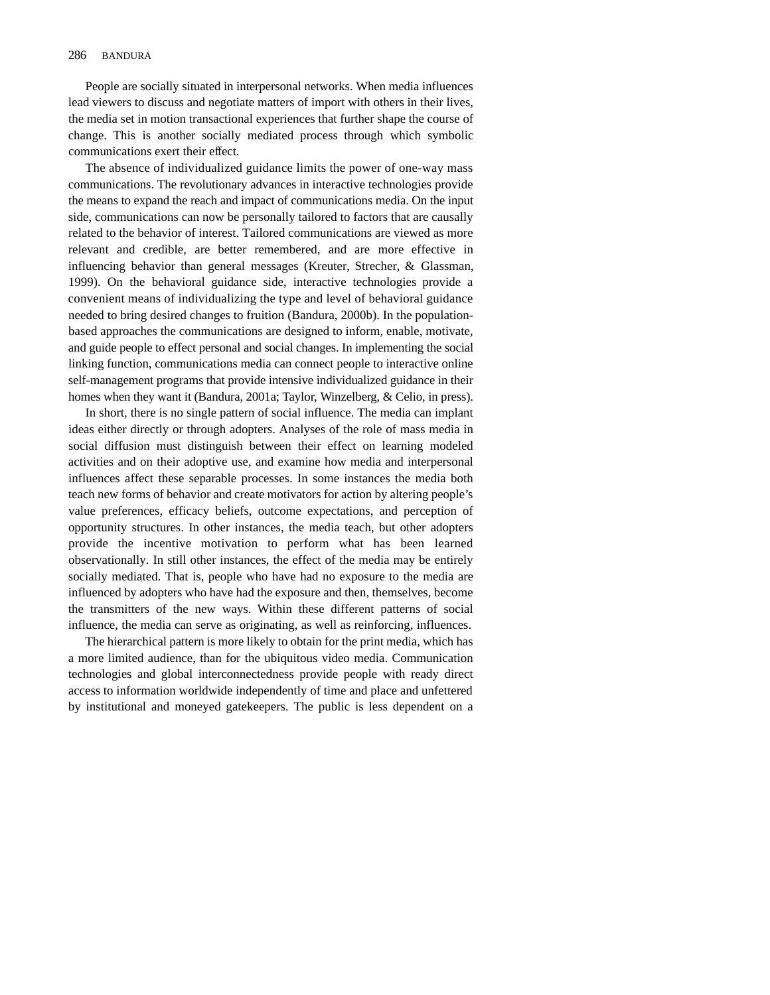People are socially situated in interpersonal networks. When media influences lead viewers to discuss and negotiate matters of import with others in their lives, the media set in motion transactional experiences that further shape the course of change. This is another socially mediated process through which symbolic communications exert their effect.

The absence of individualized guidance limits the power of one-way mass communications. The revolutionary advances in interactive technologies provide the means to expand the reach and impact of communications media. On the input side, communications can now be personally tailored to factors that are causally related to the behavior of interest. Tailored communications are viewed as more relevant and credible, are better remembered, and are more effective in influencing behavior than general messages (Kreuter, Strecher, & Glassman, 1999). On the behavioral guidance side, interactive technologies provide a convenient means of individualizing the type and level of behavioral guidance needed to bring desired changes to fruition (Bandura, 2000b). In the populationbased approaches the communications are designed to inform, enable, motivate, and guide people to effect personal and social changes. In implementing the social linking function, communications media can connect people to interactive online self-management programs that provide intensive individualized guidance in their homes when they want it (Bandura, 2001a; Taylor, Winzelberg, & Celio, in press).

In short, there is no single pattern of social influence. The media can implant ideas either directly or through adopters. Analyses of the role of mass media in social diffusion must distinguish between their effect on learning modeled activities and on their adoptive use, and examine how media and interpersonal influences affect these separable processes. In some instances the media both teach new forms of behavior and create motivators for action by altering people's value preferences, efficacy beliefs, outcome expectations, and perception of opportunity structures. In other instances, the media teach, but other adopters provide the incentive motivation to perform what has been learned observationally. In still other instances, the effect of the media may be entirely socially mediated. That is, people who have had no exposure to the media are influenced by adopters who have had the exposure and then, themselves, become the transmitters of the new ways. Within these different patterns of social influence, the media can serve as originating, as well as reinforcing, influences.

The hierarchical pattern is more likely to obtain for the print media, which has a more limited audience, than for the ubiquitous video media. Communication technologies and global interconnectedness provide people with ready direct access to information worldwide independently of time and place and unfettered by institutional and moneyed gatekeepers. The public is less dependent on a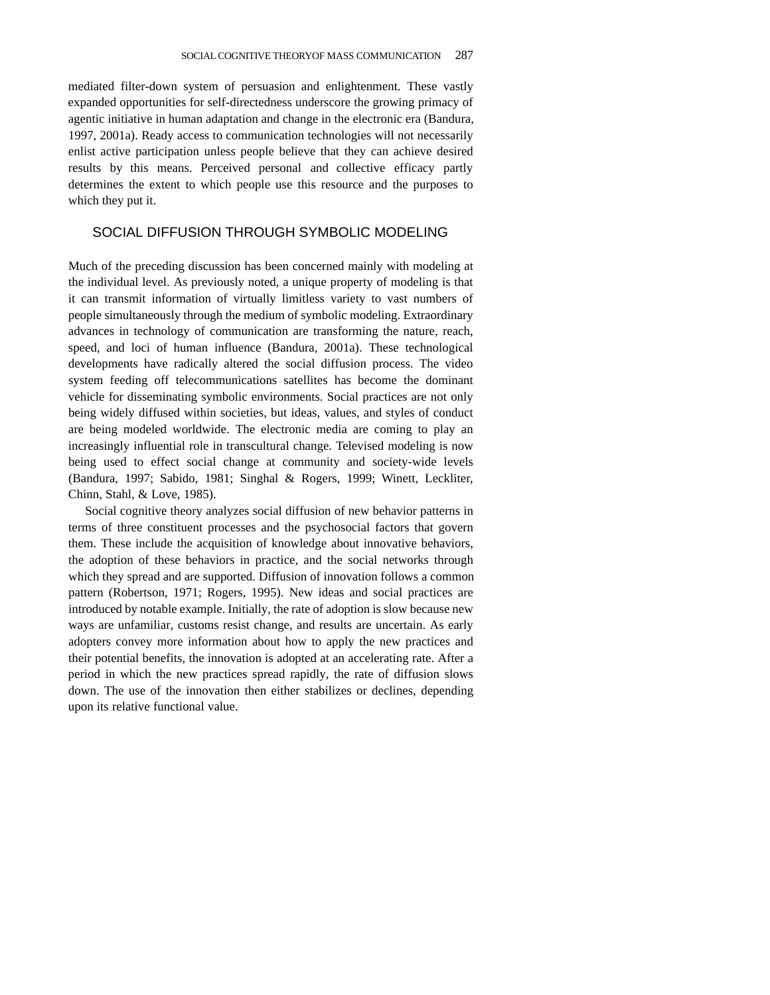mediated filter-down system of persuasion and enlightenment. These vastly expanded opportunities for self-directedness underscore the growing primacy of agentic initiative in human adaptation and change in the electronic era (Bandura, 1997, 2001a). Ready access to communication technologies will not necessarily enlist active participation unless people believe that they can achieve desired results by this means. Perceived personal and collective efficacy partly determines the extent to which people use this resource and the purposes to which they put it.

## SOCIAL DIFFUSION THROUGH SYMBOLIC MODELING

Much of the preceding discussion has been concerned mainly with modeling at the individual level. As previously noted, a unique property of modeling is that it can transmit information of virtually limitless variety to vast numbers of people simultaneously through the medium of symbolic modeling. Extraordinary advances in technology of communication are transforming the nature, reach, speed, and loci of human influence (Bandura, 2001a). These technological developments have radically altered the social diffusion process. The video system feeding off telecommunications satellites has become the dominant vehicle for disseminating symbolic environments. Social practices are not only being widely diffused within societies, but ideas, values, and styles of conduct are being modeled worldwide. The electronic media are coming to play an increasingly influential role in transcultural change. Televised modeling is now being used to effect social change at community and society-wide levels (Bandura, 1997; Sabido, 1981; Singhal & Rogers, 1999; Winett, Leckliter, Chinn, Stahl, & Love, 1985).

Social cognitive theory analyzes social diffusion of new behavior patterns in terms of three constituent processes and the psychosocial factors that govern them. These include the acquisition of knowledge about innovative behaviors, the adoption of these behaviors in practice, and the social networks through which they spread and are supported. Diffusion of innovation follows a common pattern (Robertson, 1971; Rogers, 1995). New ideas and social practices are introduced by notable example. Initially, the rate of adoption is slow because new ways are unfamiliar, customs resist change, and results are uncertain. As early adopters convey more information about how to apply the new practices and their potential benefits, the innovation is adopted at an accelerating rate. After a period in which the new practices spread rapidly, the rate of diffusion slows down. The use of the innovation then either stabilizes or declines, depending upon its relative functional value.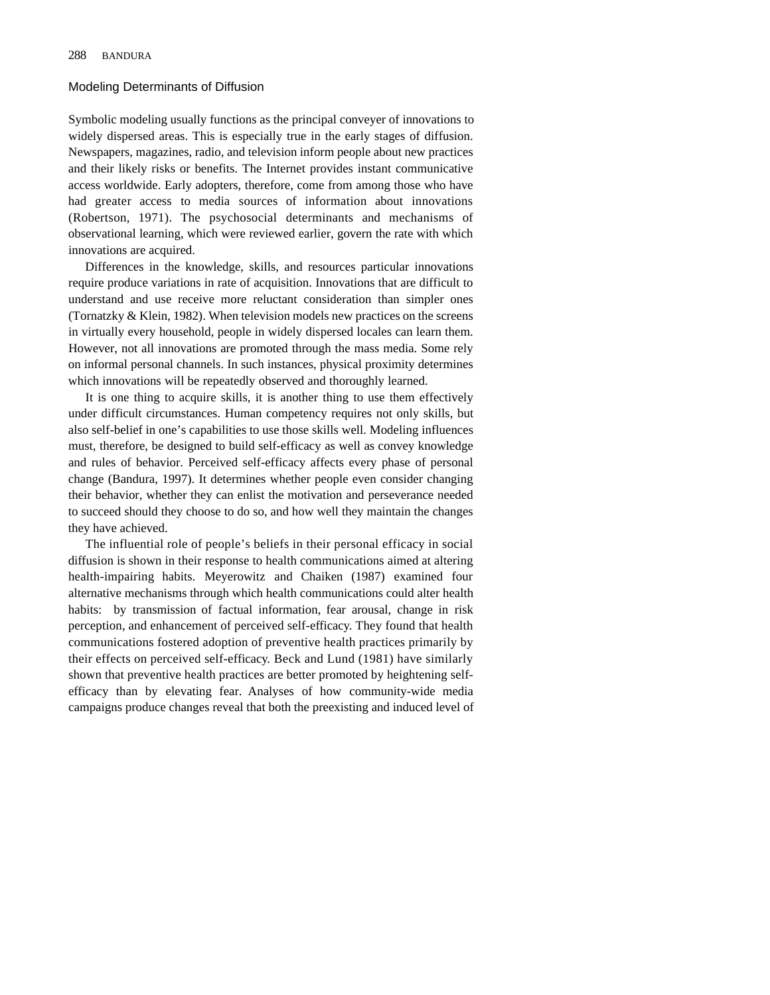#### Modeling Determinants of Diffusion

Symbolic modeling usually functions as the principal conveyer of innovations to widely dispersed areas. This is especially true in the early stages of diffusion. Newspapers, magazines, radio, and television inform people about new practices and their likely risks or benefits. The Internet provides instant communicative access worldwide. Early adopters, therefore, come from among those who have had greater access to media sources of information about innovations (Robertson, 1971). The psychosocial determinants and mechanisms of observational learning, which were reviewed earlier, govern the rate with which innovations are acquired.

Differences in the knowledge, skills, and resources particular innovations require produce variations in rate of acquisition. Innovations that are difficult to understand and use receive more reluctant consideration than simpler ones (Tornatzky & Klein, 1982). When television models new practices on the screens in virtually every household, people in widely dispersed locales can learn them. However, not all innovations are promoted through the mass media. Some rely on informal personal channels. In such instances, physical proximity determines which innovations will be repeatedly observed and thoroughly learned.

It is one thing to acquire skills, it is another thing to use them effectively under difficult circumstances. Human competency requires not only skills, but also self-belief in one's capabilities to use those skills well. Modeling influences must, therefore, be designed to build self-efficacy as well as convey knowledge and rules of behavior. Perceived self-efficacy affects every phase of personal change (Bandura, 1997). It determines whether people even consider changing their behavior, whether they can enlist the motivation and perseverance needed to succeed should they choose to do so, and how well they maintain the changes they have achieved.

The influential role of people's beliefs in their personal efficacy in social diffusion is shown in their response to health communications aimed at altering health-impairing habits. Meyerowitz and Chaiken (1987) examined four alternative mechanisms through which health communications could alter health habits: by transmission of factual information, fear arousal, change in risk perception, and enhancement of perceived self-efficacy. They found that health communications fostered adoption of preventive health practices primarily by their effects on perceived self-efficacy. Beck and Lund (1981) have similarly shown that preventive health practices are better promoted by heightening selfefficacy than by elevating fear. Analyses of how community-wide media campaigns produce changes reveal that both the preexisting and induced level of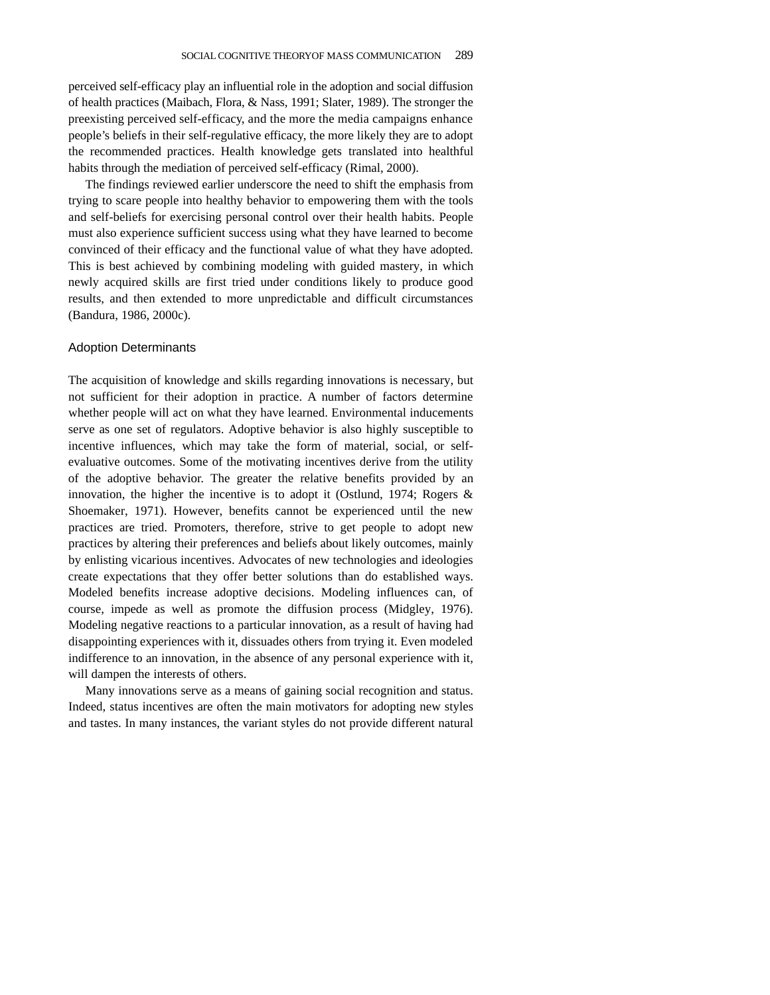perceived self-efficacy play an influential role in the adoption and social diffusion of health practices (Maibach, Flora, & Nass, 1991; Slater, 1989). The stronger the preexisting perceived self-efficacy, and the more the media campaigns enhance people's beliefs in their self-regulative efficacy, the more likely they are to adopt the recommended practices. Health knowledge gets translated into healthful habits through the mediation of perceived self-efficacy (Rimal, 2000).

The findings reviewed earlier underscore the need to shift the emphasis from trying to scare people into healthy behavior to empowering them with the tools and self-beliefs for exercising personal control over their health habits. People must also experience sufficient success using what they have learned to become convinced of their efficacy and the functional value of what they have adopted. This is best achieved by combining modeling with guided mastery, in which newly acquired skills are first tried under conditions likely to produce good results, and then extended to more unpredictable and difficult circumstances (Bandura, 1986, 2000c).

#### Adoption Determinants

The acquisition of knowledge and skills regarding innovations is necessary, but not sufficient for their adoption in practice. A number of factors determine whether people will act on what they have learned. Environmental inducements serve as one set of regulators. Adoptive behavior is also highly susceptible to incentive influences, which may take the form of material, social, or selfevaluative outcomes. Some of the motivating incentives derive from the utility of the adoptive behavior. The greater the relative benefits provided by an innovation, the higher the incentive is to adopt it (Ostlund, 1974; Rogers & Shoemaker, 1971). However, benefits cannot be experienced until the new practices are tried. Promoters, therefore, strive to get people to adopt new practices by altering their preferences and beliefs about likely outcomes, mainly by enlisting vicarious incentives. Advocates of new technologies and ideologies create expectations that they offer better solutions than do established ways. Modeled benefits increase adoptive decisions. Modeling influences can, of course, impede as well as promote the diffusion process (Midgley, 1976). Modeling negative reactions to a particular innovation, as a result of having had disappointing experiences with it, dissuades others from trying it. Even modeled indifference to an innovation, in the absence of any personal experience with it, will dampen the interests of others.

Many innovations serve as a means of gaining social recognition and status. Indeed, status incentives are often the main motivators for adopting new styles and tastes. In many instances, the variant styles do not provide different natural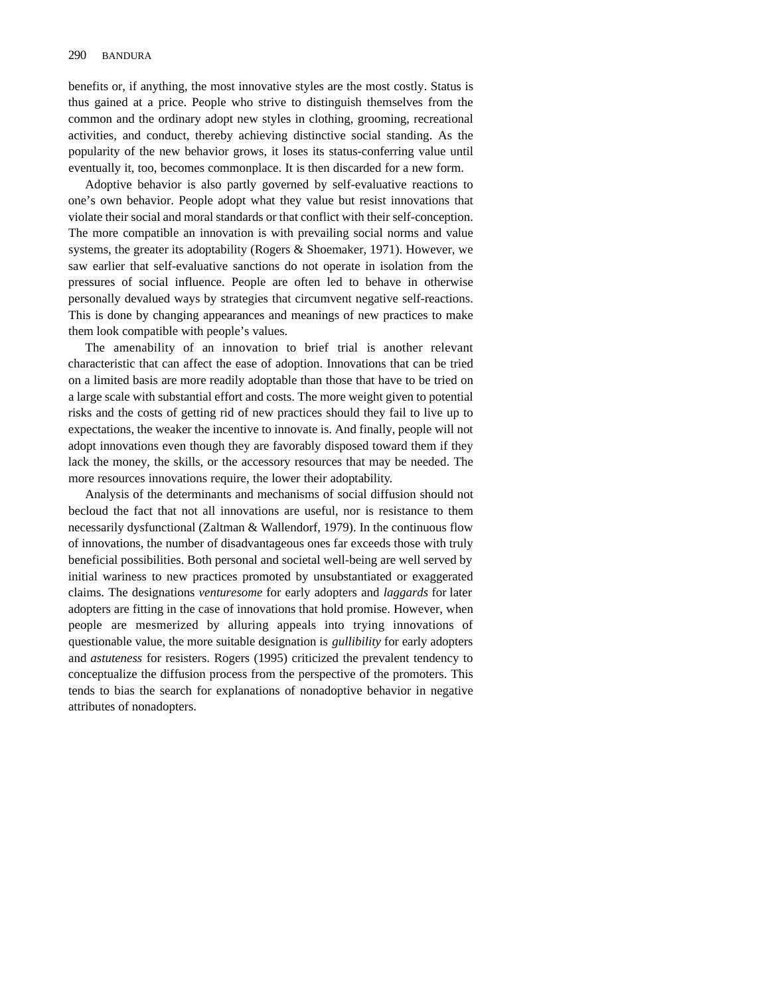benefits or, if anything, the most innovative styles are the most costly. Status is thus gained at a price. People who strive to distinguish themselves from the common and the ordinary adopt new styles in clothing, grooming, recreational activities, and conduct, thereby achieving distinctive social standing. As the popularity of the new behavior grows, it loses its status-conferring value until eventually it, too, becomes commonplace. It is then discarded for a new form.

Adoptive behavior is also partly governed by self-evaluative reactions to one's own behavior. People adopt what they value but resist innovations that violate their social and moral standards or that conflict with their self-conception. The more compatible an innovation is with prevailing social norms and value systems, the greater its adoptability (Rogers & Shoemaker, 1971). However, we saw earlier that self-evaluative sanctions do not operate in isolation from the pressures of social influence. People are often led to behave in otherwise personally devalued ways by strategies that circumvent negative self-reactions. This is done by changing appearances and meanings of new practices to make them look compatible with people's values.

The amenability of an innovation to brief trial is another relevant characteristic that can affect the ease of adoption. Innovations that can be tried on a limited basis are more readily adoptable than those that have to be tried on a large scale with substantial effort and costs. The more weight given to potential risks and the costs of getting rid of new practices should they fail to live up to expectations, the weaker the incentive to innovate is. And finally, people will not adopt innovations even though they are favorably disposed toward them if they lack the money, the skills, or the accessory resources that may be needed. The more resources innovations require, the lower their adoptability.

Analysis of the determinants and mechanisms of social diffusion should not becloud the fact that not all innovations are useful, nor is resistance to them necessarily dysfunctional (Zaltman & Wallendorf, 1979). In the continuous flow of innovations, the number of disadvantageous ones far exceeds those with truly beneficial possibilities. Both personal and societal well-being are well served by initial wariness to new practices promoted by unsubstantiated or exaggerated claims. The designations *venturesome* for early adopters and *laggards* for later adopters are fitting in the case of innovations that hold promise. However, when people are mesmerized by alluring appeals into trying innovations of questionable value, the more suitable designation is *gullibility* for early adopters and *astuteness* for resisters. Rogers (1995) criticized the prevalent tendency to conceptualize the diffusion process from the perspective of the promoters. This tends to bias the search for explanations of nonadoptive behavior in negative attributes of nonadopters.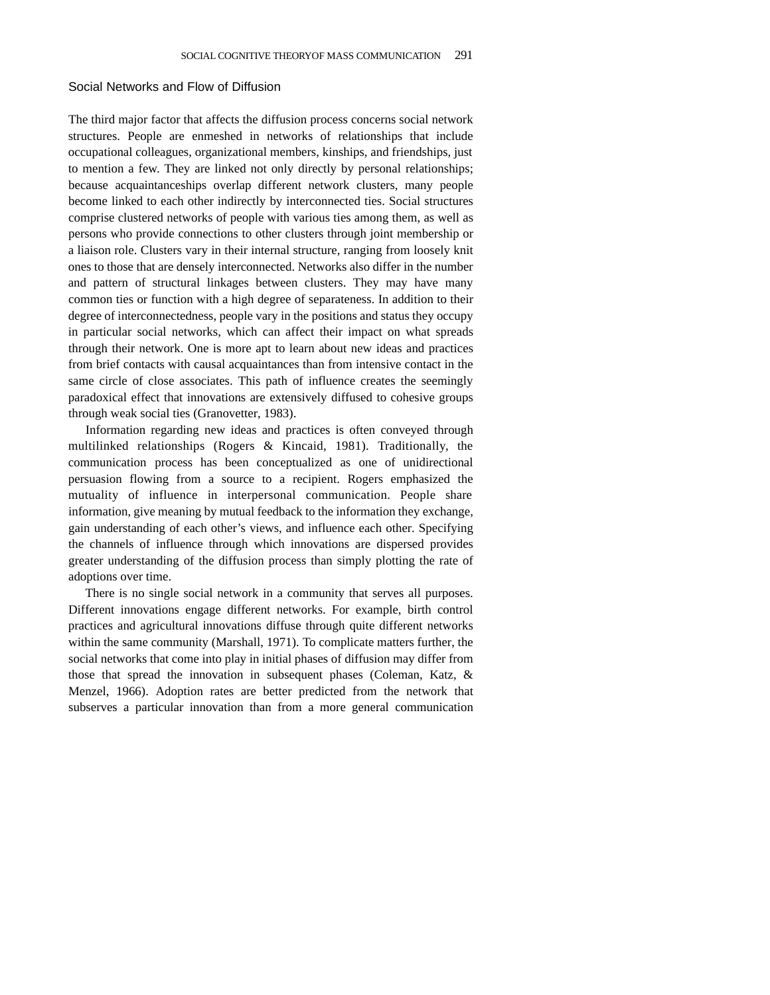#### Social Networks and Flow of Diffusion

The third major factor that affects the diffusion process concerns social network structures. People are enmeshed in networks of relationships that include occupational colleagues, organizational members, kinships, and friendships, just to mention a few. They are linked not only directly by personal relationships; because acquaintanceships overlap different network clusters, many people become linked to each other indirectly by interconnected ties. Social structures comprise clustered networks of people with various ties among them, as well as persons who provide connections to other clusters through joint membership or a liaison role. Clusters vary in their internal structure, ranging from loosely knit ones to those that are densely interconnected. Networks also differ in the number and pattern of structural linkages between clusters. They may have many common ties or function with a high degree of separateness. In addition to their degree of interconnectedness, people vary in the positions and status they occupy in particular social networks, which can affect their impact on what spreads through their network. One is more apt to learn about new ideas and practices from brief contacts with causal acquaintances than from intensive contact in the same circle of close associates. This path of influence creates the seemingly paradoxical effect that innovations are extensively diffused to cohesive groups through weak social ties (Granovetter, 1983).

Information regarding new ideas and practices is often conveyed through multilinked relationships (Rogers  $& Kincaid, 1981$ ). Traditionally, the communication process has been conceptualized as one of unidirectional persuasion flowing from a source to a recipient. Rogers emphasized the mutuality of influence in interpersonal communication. People share information, give meaning by mutual feedback to the information they exchange, gain understanding of each other's views, and influence each other. Specifying the channels of influence through which innovations are dispersed provides greater understanding of the diffusion process than simply plotting the rate of adoptions over time.

There is no single social network in a community that serves all purposes. Different innovations engage different networks. For example, birth control practices and agricultural innovations diffuse through quite different networks within the same community (Marshall, 1971). To complicate matters further, the social networks that come into play in initial phases of diffusion may differ from those that spread the innovation in subsequent phases (Coleman, Katz, & Menzel, 1966). Adoption rates are better predicted from the network that subserves a particular innovation than from a more general communication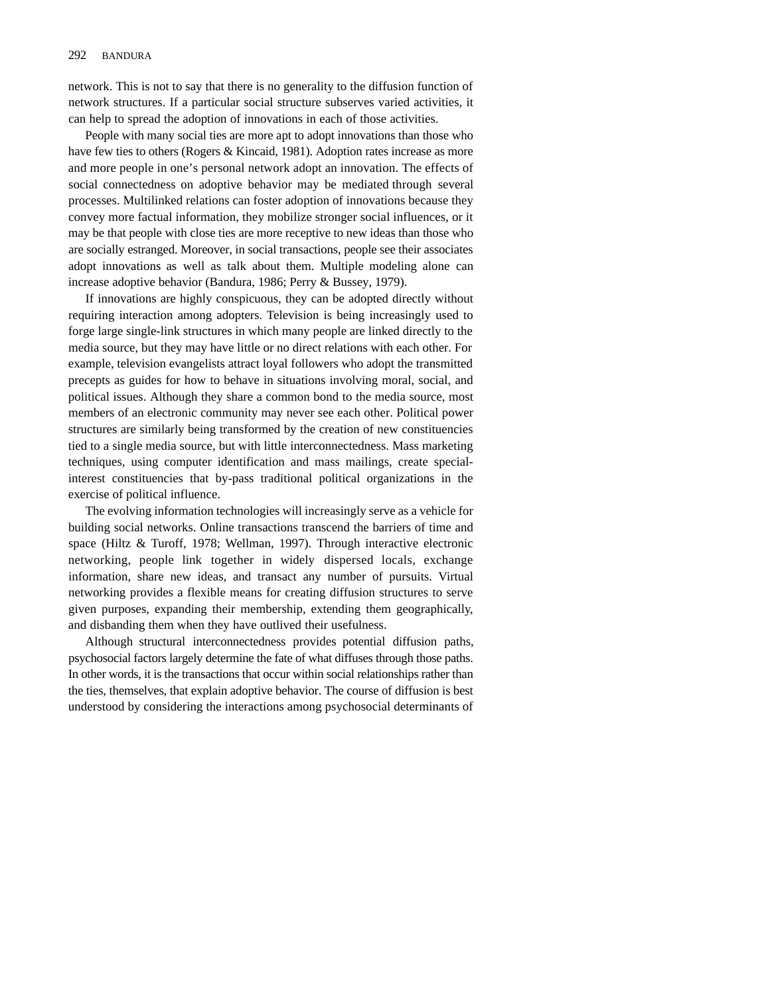network. This is not to say that there is no generality to the diffusion function of network structures. If a particular social structure subserves varied activities, it can help to spread the adoption of innovations in each of those activities.

People with many social ties are more apt to adopt innovations than those who have few ties to others (Rogers & Kincaid, 1981). Adoption rates increase as more and more people in one's personal network adopt an innovation. The effects of social connectedness on adoptive behavior may be mediated through several processes. Multilinked relations can foster adoption of innovations because they convey more factual information, they mobilize stronger social influences, or it may be that people with close ties are more receptive to new ideas than those who are socially estranged. Moreover, in social transactions, people see their associates adopt innovations as well as talk about them. Multiple modeling alone can increase adoptive behavior (Bandura, 1986; Perry & Bussey, 1979).

If innovations are highly conspicuous, they can be adopted directly without requiring interaction among adopters. Television is being increasingly used to forge large single-link structures in which many people are linked directly to the media source, but they may have little or no direct relations with each other. For example, television evangelists attract loyal followers who adopt the transmitted precepts as guides for how to behave in situations involving moral, social, and political issues. Although they share a common bond to the media source, most members of an electronic community may never see each other. Political power structures are similarly being transformed by the creation of new constituencies tied to a single media source, but with little interconnectedness. Mass marketing techniques, using computer identification and mass mailings, create specialinterest constituencies that by-pass traditional political organizations in the exercise of political influence.

The evolving information technologies will increasingly serve as a vehicle for building social networks. Online transactions transcend the barriers of time and space (Hiltz & Turoff, 1978; Wellman, 1997). Through interactive electronic networking, people link together in widely dispersed locals, exchange information, share new ideas, and transact any number of pursuits. Virtual networking provides a flexible means for creating diffusion structures to serve given purposes, expanding their membership, extending them geographically, and disbanding them when they have outlived their usefulness.

Although structural interconnectedness provides potential diffusion paths, psychosocial factors largely determine the fate of what diffuses through those paths. In other words, it is the transactions that occur within social relationships rather than the ties, themselves, that explain adoptive behavior. The course of diffusion is best understood by considering the interactions among psychosocial determinants of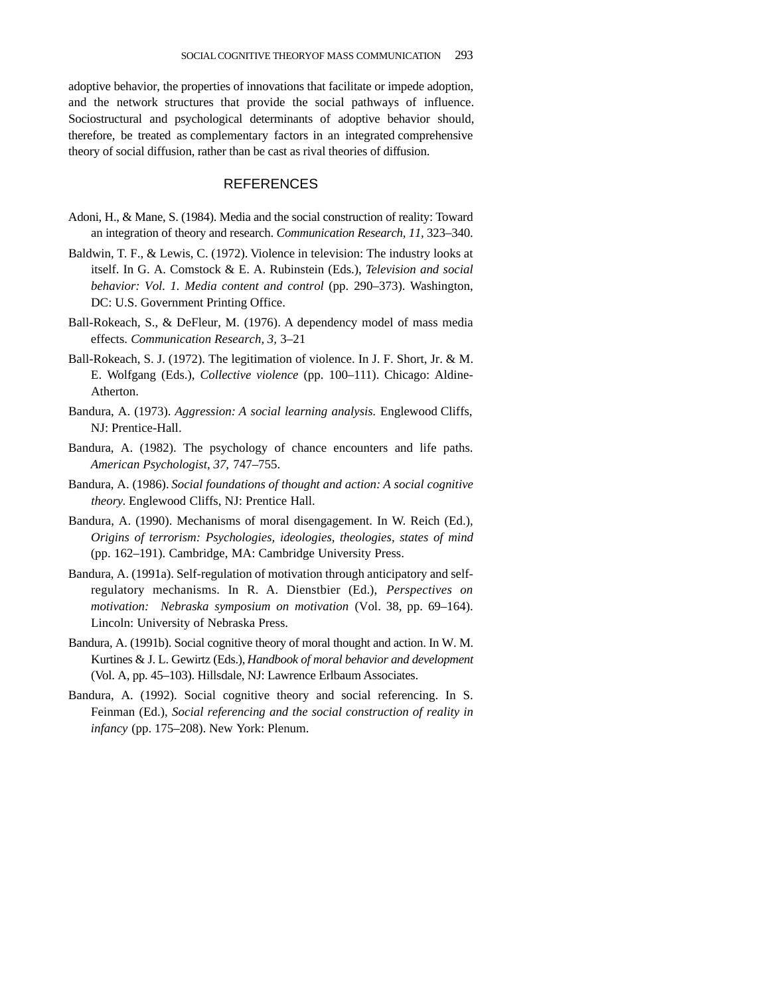adoptive behavior, the properties of innovations that facilitate or impede adoption, and the network structures that provide the social pathways of influence. Sociostructural and psychological determinants of adoptive behavior should, therefore, be treated as complementary factors in an integrated comprehensive theory of social diffusion, rather than be cast as rival theories of diffusion.

# **REFERENCES**

- Adoni, H., & Mane, S. (1984). Media and the social construction of reality: Toward an integration of theory and research. *Communication Research*, 11, 323–340.
- Baldwin, T. F., & Lewis, C. (1972). Violence in television: The industry looks at itself. In G. A. Comstock & E. A. Rubinstein (Eds.), *Television and social behavior: Vol. 1. Media content and control* (pp. 290–373). Washington, DC: U.S. Government Printing Office.
- Ball-Rokeach, S., & DeFleur, M. (1976). A dependency model of mass media effects. *Communication Research, 3,* 3–21
- Ball-Rokeach, S. J. (1972). The legitimation of violence. In J. F. Short, Jr. & M. E. Wolfgang (Eds.), *Collective violence* (pp. 100–111). Chicago: Aldine-Atherton.
- Bandura, A. (1973). *Aggression: A social learning analysis.* Englewood Cliffs, NJ: Prentice-Hall.
- Bandura, A. (1982). The psychology of chance encounters and life paths. *American Psychologist, 37,* 747–755.
- Bandura, A. (1986). *Social foundations of thought and action: A social cognitive theory.* Englewood Cliffs, NJ: Prentice Hall.
- Bandura, A. (1990). Mechanisms of moral disengagement. In W. Reich (Ed.), *Origins of terrorism: Psychologies, ideologies, theologies, states of mind* (pp. 162–191). Cambridge, MA: Cambridge University Press.
- Bandura, A. (1991a). Self-regulation of motivation through anticipatory and selfregulatory mechanisms. In R. A. Dienstbier (Ed.), *Perspectives on motivation: Nebraska symposium on motivation* (Vol. 38, pp. 69–164). Lincoln: University of Nebraska Press.
- Bandura, A. (1991b). Social cognitive theory of moral thought and action. In W. M. Kurtines & J. L. Gewirtz (Eds.), *Handbook of moral behavior and development* (Vol. A, pp. 45–103). Hillsdale, NJ: Lawrence Erlbaum Associates.
- Bandura, A. (1992). Social cognitive theory and social referencing. In S. Feinman (Ed.), *Social referencing and the social construction of reality in infancy* (pp. 175–208). New York: Plenum.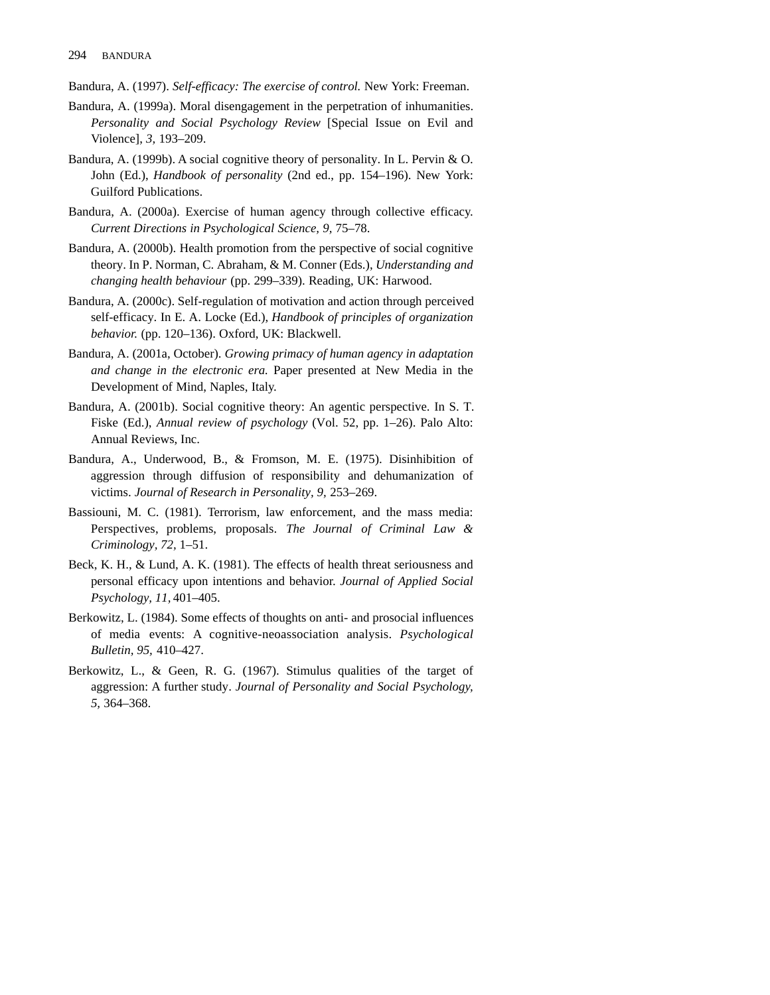- Bandura, A. (1997). *Self-efficacy: The exercise of control.* New York: Freeman.
- Bandura, A. (1999a). Moral disengagement in the perpetration of inhumanities. *Personality and Social Psychology Review* [Special Issue on Evil and Violence], *3,* 193–209.
- Bandura, A. (1999b). A social cognitive theory of personality. In L. Pervin & O. John (Ed.), *Handbook of personality* (2nd ed., pp. 154–196). New York: Guilford Publications.
- Bandura, A. (2000a). Exercise of human agency through collective efficacy. *Current Directions in Psychological Science, 9,* 75–78.
- Bandura, A. (2000b). Health promotion from the perspective of social cognitive theory. In P. Norman, C. Abraham, & M. Conner (Eds.), *Understanding and changing health behaviour* (pp. 299–339). Reading, UK: Harwood.
- Bandura, A. (2000c). Self-regulation of motivation and action through perceived self-efficacy. In E. A. Locke (Ed.), *Handbook of principles of organization behavior.* (pp. 120–136). Oxford, UK: Blackwell.
- Bandura, A. (2001a, October). *Growing primacy of human agency in adaptation and change in the electronic era.* Paper presented at New Media in the Development of Mind, Naples, Italy.
- Bandura, A. (2001b). Social cognitive theory: An agentic perspective. In S. T. Fiske (Ed.), *Annual review of psychology* (Vol. 52, pp. 1–26). Palo Alto: Annual Reviews, Inc.
- Bandura, A., Underwood, B., & Fromson, M. E. (1975). Disinhibition of aggression through diffusion of responsibility and dehumanization of victims. *Journal of Research in Personality, 9,* 253–269.
- Bassiouni, M. C. (1981). Terrorism, law enforcement, and the mass media: Perspectives, problems, proposals. *The Journal of Criminal Law & Criminology, 72,* 1–51.
- Beck, K. H., & Lund, A. K. (1981). The effects of health threat seriousness and personal efficacy upon intentions and behavior. *Journal of Applied Social Psychology, 11,* 401–405.
- Berkowitz, L. (1984). Some effects of thoughts on anti- and prosocial influences of media events: A cognitive-neoassociation analysis. *Psychological Bulletin, 95,* 410–427.
- Berkowitz, L., & Geen, R. G. (1967). Stimulus qualities of the target of aggression: A further study. *Journal of Personality and Social Psychology, 5,* 364–368.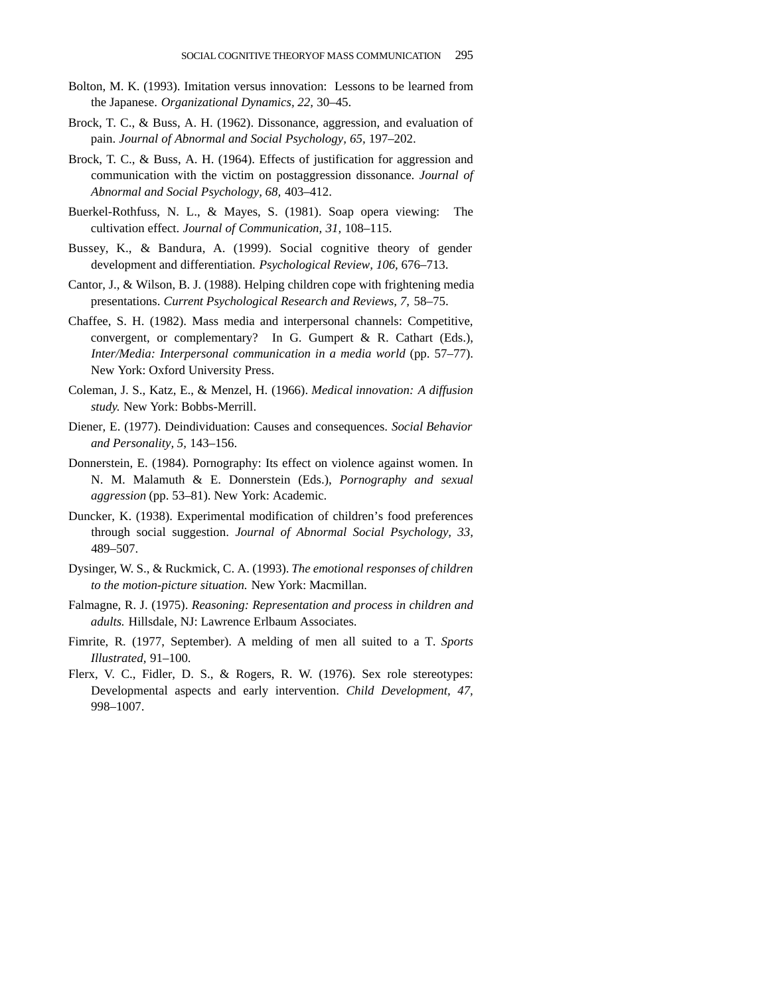- Bolton, M. K. (1993). Imitation versus innovation: Lessons to be learned from the Japanese. *Organizational Dynamics, 22,* 30–45.
- Brock, T. C., & Buss, A. H. (1962). Dissonance, aggression, and evaluation of pain. *Journal of Abnormal and Social Psychology, 65,* 197–202.
- Brock, T. C., & Buss, A. H. (1964). Effects of justification for aggression and communication with the victim on postaggression dissonance. *Journal of Abnormal and Social Psychology, 68,* 403–412.
- Buerkel-Rothfuss, N. L., & Mayes, S. (1981). Soap opera viewing: The cultivation effect. *Journal of Communication, 31,* 108–115.
- Bussey, K., & Bandura, A. (1999). Social cognitive theory of gender development and differentiation. *Psychological Review, 106,* 676–713.
- Cantor, J., & Wilson, B. J. (1988). Helping children cope with frightening media presentations. *Current Psychological Research and Reviews, 7,* 58–75.
- Chaffee, S. H. (1982). Mass media and interpersonal channels: Competitive, convergent, or complementary? In G. Gumpert & R. Cathart (Eds.), *Inter/Media: Interpersonal communication in a media world* (pp. 57–77). New York: Oxford University Press.
- Coleman, J. S., Katz, E., & Menzel, H. (1966). *Medical innovation: A diffusion study.* New York: Bobbs-Merrill.
- Diener, E. (1977). Deindividuation: Causes and consequences. *Social Behavior and Personality, 5,* 143–156.
- Donnerstein, E. (1984). Pornography: Its effect on violence against women. In N. M. Malamuth & E. Donnerstein (Eds.), *Pornography and sexual aggression* (pp. 53–81). New York: Academic.
- Duncker, K. (1938). Experimental modification of children's food preferences through social suggestion. *Journal of Abnormal Social Psychology, 33,* 489–507.
- Dysinger, W. S., & Ruckmick, C. A. (1993). *The emotional responses of children to the motion-picture situation.* New York: Macmillan.
- Falmagne, R. J. (1975). *Reasoning: Representation and process in children and adults.* Hillsdale, NJ: Lawrence Erlbaum Associates.
- Fimrite, R. (1977, September). A melding of men all suited to a T. *Sports Illustrated,* 91–100.
- Flerx, V. C., Fidler, D. S., & Rogers, R. W. (1976). Sex role stereotypes: Developmental aspects and early intervention. *Child Development, 47,* 998–1007.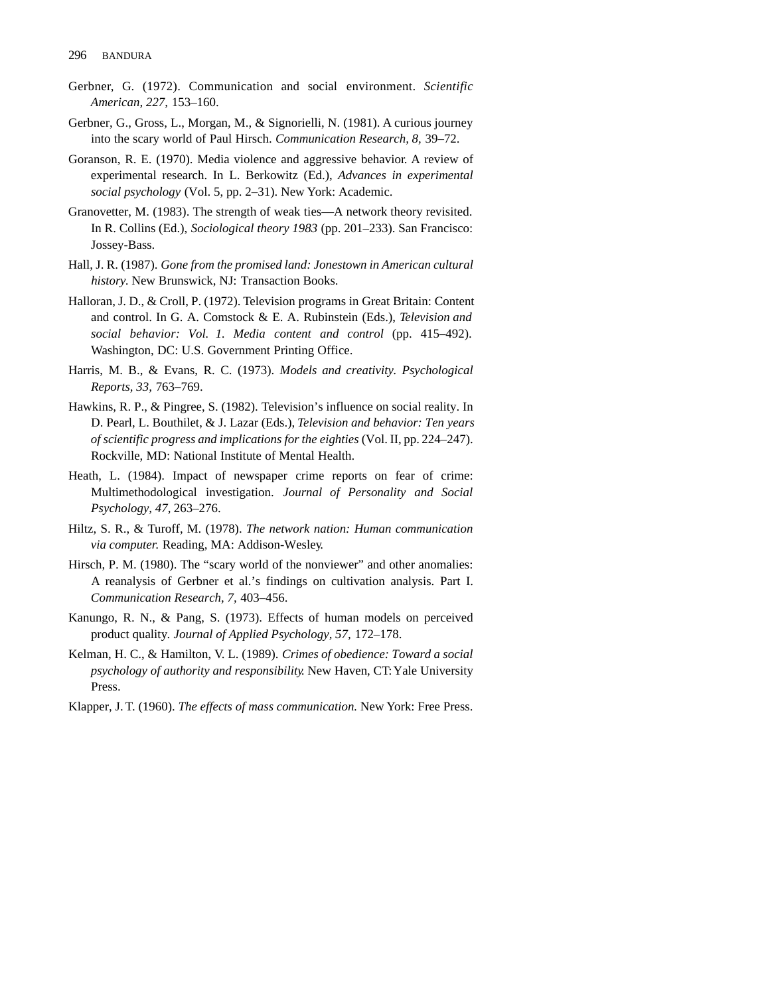- Gerbner, G. (1972). Communication and social environment. *Scientific American, 227,* 153–160.
- Gerbner, G., Gross, L., Morgan, M., & Signorielli, N. (1981). A curious journey into the scary world of Paul Hirsch. *Communication Research, 8,* 39–72.
- Goranson, R. E. (1970). Media violence and aggressive behavior. A review of experimental research. In L. Berkowitz (Ed.), *Advances in experimental social psychology* (Vol. 5, pp. 2–31). New York: Academic.
- Granovetter, M. (1983). The strength of weak ties—A network theory revisited. In R. Collins (Ed.), *Sociological theory 1983* (pp. 201–233). San Francisco: Jossey-Bass.
- Hall, J. R. (1987). *Gone from the promised land: Jonestown in American cultural history.* New Brunswick, NJ: Transaction Books.
- Halloran, J. D., & Croll, P. (1972). Television programs in Great Britain: Content and control. In G. A. Comstock & E. A. Rubinstein (Eds.), *Television and social behavior: Vol. 1. Media content and control* (pp. 415–492). Washington, DC: U.S. Government Printing Office.
- Harris, M. B., & Evans, R. C. (1973). *Models and creativity. Psychological Reports, 33,* 763–769.
- Hawkins, R. P., & Pingree, S. (1982). Television's influence on social reality. In D. Pearl, L. Bouthilet, & J. Lazar (Eds.), *Television and behavior: Ten years of scientific progress and implications for the eighties* (Vol. II, pp. 224–247). Rockville, MD: National Institute of Mental Health.
- Heath, L. (1984). Impact of newspaper crime reports on fear of crime: Multimethodological investigation. *Journal of Personality and Social Psychology, 47,* 263–276.
- Hiltz, S. R., & Turoff, M. (1978). *The network nation: Human communication via computer.* Reading, MA: Addison-Wesley.
- Hirsch, P. M. (1980). The "scary world of the nonviewer" and other anomalies: A reanalysis of Gerbner et al.'s findings on cultivation analysis. Part I. *Communication Research, 7,* 403–456.
- Kanungo, R. N., & Pang, S. (1973). Effects of human models on perceived product quality. *Journal of Applied Psychology, 57,* 172–178.
- Kelman, H. C., & Hamilton, V. L. (1989). *Crimes of obedience: Toward a social psychology of authority and responsibility.* New Haven, CT:Yale University Press.
- Klapper, J. T. (1960). *The effects of mass communication.* New York: Free Press.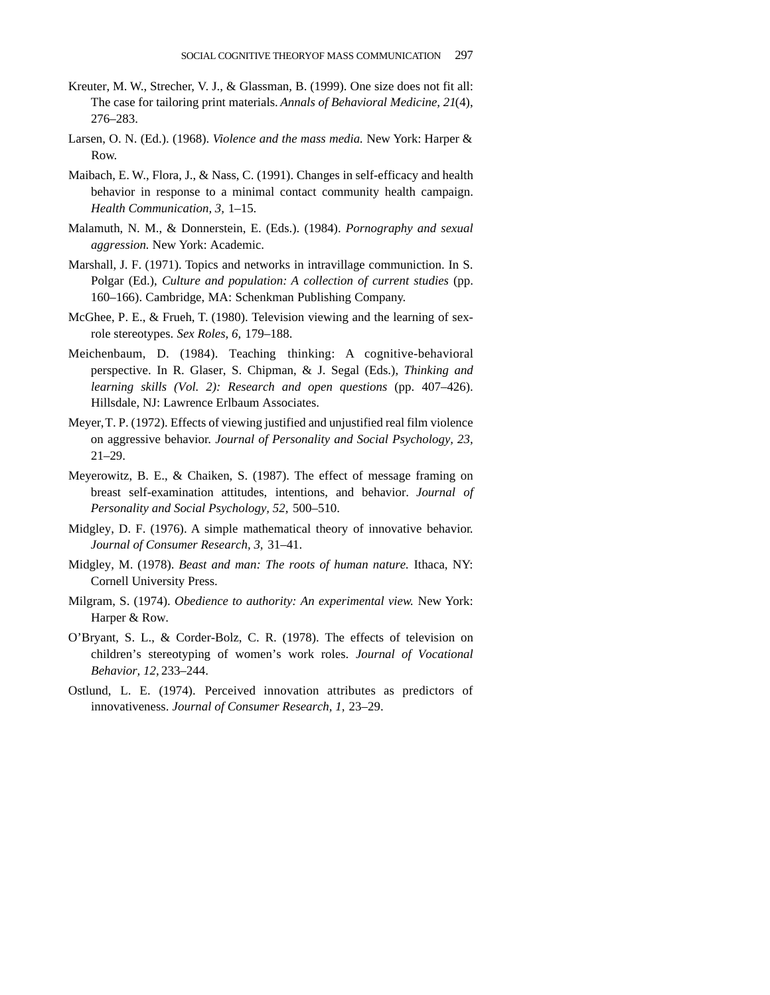- Kreuter, M. W., Strecher, V. J., & Glassman, B. (1999). One size does not fit all: The case for tailoring print materials. *Annals of Behavioral Medicine, 21*(4), 276–283.
- Larsen, O. N. (Ed.). (1968). *Violence and the mass media.* New York: Harper & Row.
- Maibach, E. W., Flora, J., & Nass, C. (1991). Changes in self-efficacy and health behavior in response to a minimal contact community health campaign. *Health Communication, 3,* 1–15.
- Malamuth, N. M., & Donnerstein, E. (Eds.). (1984). *Pornography and sexual aggression.* New York: Academic.
- Marshall, J. F. (1971). Topics and networks in intravillage communiction. In S. Polgar (Ed.), *Culture and population: A collection of current studies* (pp. 160–166). Cambridge, MA: Schenkman Publishing Company.
- McGhee, P. E., & Frueh, T. (1980). Television viewing and the learning of sexrole stereotypes. *Sex Roles, 6,* 179–188.
- Meichenbaum, D. (1984). Teaching thinking: A cognitive-behavioral perspective. In R. Glaser, S. Chipman, & J. Segal (Eds.), *Thinking and learning skills (Vol. 2): Research and open questions* (pp. 407–426). Hillsdale, NJ: Lawrence Erlbaum Associates.
- Meyer,T. P. (1972). Effects of viewing justified and unjustified real film violence on aggressive behavior. *Journal of Personality and Social Psychology, 23,* 21–29.
- Meyerowitz, B. E., & Chaiken, S. (1987). The effect of message framing on breast self-examination attitudes, intentions, and behavior. *Journal of Personality and Social Psychology, 52,* 500–510.
- Midgley, D. F. (1976). A simple mathematical theory of innovative behavior. *Journal of Consumer Research, 3,* 31–41.
- Midgley, M. (1978). *Beast and man: The roots of human nature.* Ithaca, NY: Cornell University Press.
- Milgram, S. (1974). *Obedience to authority: An experimental view.* New York: Harper & Row.
- O'Bryant, S. L., & Corder-Bolz, C. R. (1978). The effects of television on children's stereotyping of women's work roles. *Journal of Vocational Behavior, 12,* 233–244.
- Ostlund, L. E. (1974). Perceived innovation attributes as predictors of innovativeness. *Journal of Consumer Research, 1,* 23–29.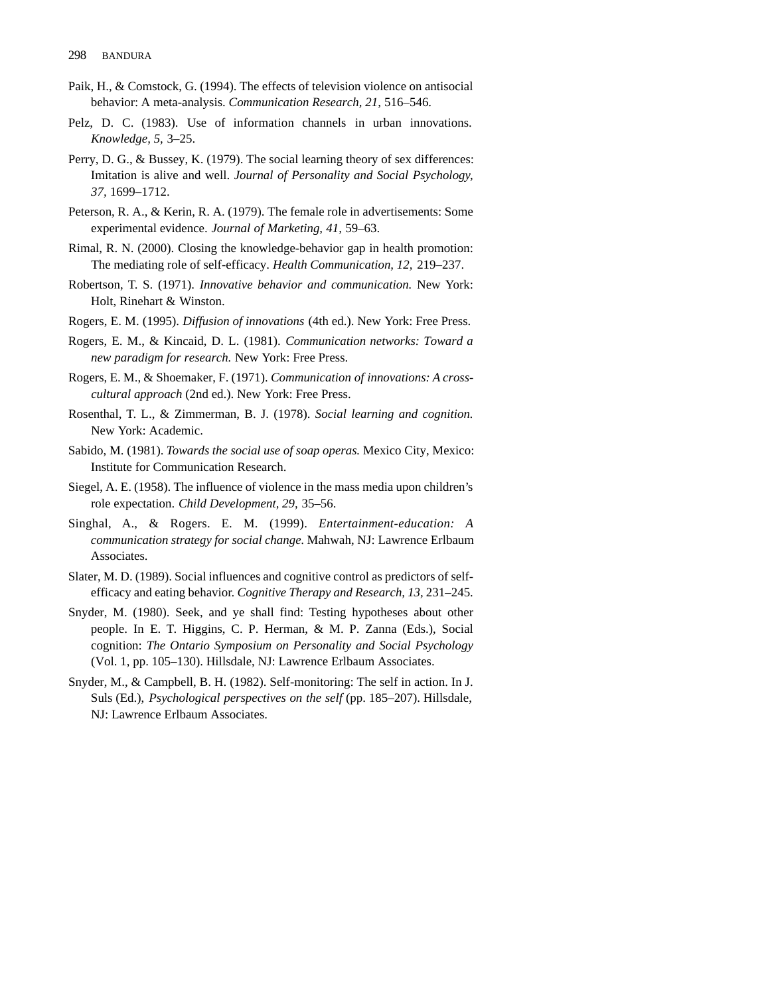- Paik, H., & Comstock, G. (1994). The effects of television violence on antisocial behavior: A meta-analysis. *Communication Research, 21,* 516–546.
- Pelz, D. C. (1983). Use of information channels in urban innovations. *Knowledge, 5,* 3–25.
- Perry, D. G., & Bussey, K. (1979). The social learning theory of sex differences: Imitation is alive and well. *Journal of Personality and Social Psychology, 37,* 1699–1712.
- Peterson, R. A., & Kerin, R. A. (1979). The female role in advertisements: Some experimental evidence. *Journal of Marketing, 41,* 59–63.
- Rimal, R. N. (2000). Closing the knowledge-behavior gap in health promotion: The mediating role of self-efficacy. *Health Communication, 12,* 219–237.
- Robertson, T. S. (1971). *Innovative behavior and communication.* New York: Holt, Rinehart & Winston.
- Rogers, E. M. (1995). *Diffusion of innovations* (4th ed.). New York: Free Press.
- Rogers, E. M., & Kincaid, D. L. (1981). *Communication networks: Toward a new paradigm for research.* New York: Free Press.
- Rogers, E. M., & Shoemaker, F. (1971). *Communication of innovations: A crosscultural approach* (2nd ed.). New York: Free Press.
- Rosenthal, T. L., & Zimmerman, B. J. (1978). *Social learning and cognition.* New York: Academic.
- Sabido, M. (1981). *Towards the social use of soap operas*. Mexico City, Mexico: Institute for Communication Research.
- Siegel, A. E. (1958). The influence of violence in the mass media upon children's role expectation. *Child Development, 29,* 35–56.
- Singhal, A., & Rogers. E. M. (1999). *Entertainment-education: A communication strategy for social change.* Mahwah, NJ: Lawrence Erlbaum Associates.
- Slater, M. D. (1989). Social influences and cognitive control as predictors of selfefficacy and eating behavior. *Cognitive Therapy and Research, 13,* 231–245.
- Snyder, M. (1980). Seek, and ye shall find: Testing hypotheses about other people. In E. T. Higgins, C. P. Herman, & M. P. Zanna (Eds.), Social cognition: *The Ontario Symposium on Personality and Social Psychology* (Vol. 1, pp. 105–130). Hillsdale, NJ: Lawrence Erlbaum Associates.
- Snyder, M., & Campbell, B. H. (1982). Self-monitoring: The self in action. In J. Suls (Ed.), *Psychological perspectives on the self* (pp. 185–207). Hillsdale, NJ: Lawrence Erlbaum Associates.